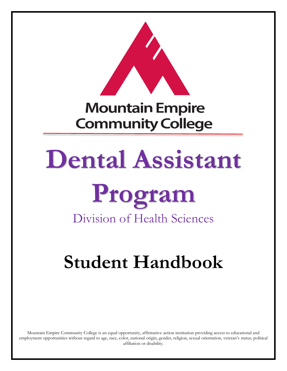

# **Mountain Empire Community College**

# **Dental Assistant**

# **Program** Division of Health Sciences

# **Student Handbook**

Mountain Empire Community College is an equal opportunity, affirmative action institution providing access to educational and employment opportunities without regard to age, race, color, national origin, gender, religion, sexual orientation, veteran's status, political affiliation or disability.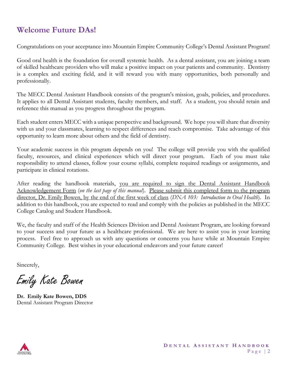# **Welcome Future DAs!**

Congratulations on your acceptance into Mountain Empire Community College's Dental Assistant Program!

Good oral health is the foundation for overall systemic health. As a dental assistant, you are joining a team of skilled healthcare providers who will make a positive impact on your patients and community. Dentistry is a complex and exciting field, and it will reward you with many opportunities, both personally and professionally.

The MECC Dental Assistant Handbook consists of the program's mission, goals, policies, and procedures. It applies to all Dental Assistant students, faculty members, and staff. As a student, you should retain and reference this manual as you progress throughout the program.

Each student enters MECC with a unique perspective and background. We hope you will share that diversity with us and your classmates, learning to respect differences and reach compromise. Take advantage of this opportunity to learn more about others and the field of dentistry.

Your academic success in this program depends on you! The college will provide you with the qualified faculty, resources, and clinical experiences which will direct your program. Each of you must take responsibility to attend classes, follow your course syllabi, complete required readings or assignments, and participate in clinical rotations.

After reading the handbook materials, you are required to sign the Dental Assistant Handbook Acknowledgement Form (*on the last page of this manual*). Please submit this completed form to the program director, Dr. Emily Bowen, by the end of the first week of class (*DNA 103: Introduction to Oral Health*). In addition to this handbook, you are expected to read and comply with the policies as published in the MECC College Catalog and Student Handbook.

We, the faculty and staff of the Health Sciences Division and Dental Assistant Program, are looking forward to your success and your future as a healthcare professional. We are here to assist you in your learning process. Feel free to approach us with any questions or concerns you have while at Mountain Empire Community College. Best wishes in your educational endeavors and your future career!

Sincerely,

Emily Kate Bowen

**Dr. Emily Kate Bowen, DDS** Dental Assistant Program Director

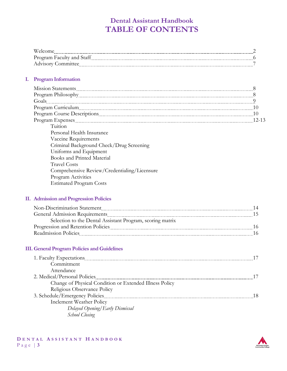# **Dental Assistant Handbook TABLE OF CONTENTS**

| <b>TT</b><br>.                    |  |
|-----------------------------------|--|
| . Faculty and<br>. Staf†<br>----- |  |
| ---                               |  |

#### **I. Program Information**

| Goals                                                                                                                                                                                                                         |         |
|-------------------------------------------------------------------------------------------------------------------------------------------------------------------------------------------------------------------------------|---------|
| Program Curriculum 2000 and 2000 and 2000 and 2000 and 2000 and 2000 and 2000 and 2000 and 2000 and 2000 and 2000 and 2000 and 2000 and 2000 and 2000 and 2000 and 2000 and 2000 and 2000 and 2000 and 2000 and 2000 and 2000 |         |
|                                                                                                                                                                                                                               |         |
|                                                                                                                                                                                                                               | $12-13$ |
| Tuition                                                                                                                                                                                                                       |         |
| Personal Health Insurance                                                                                                                                                                                                     |         |
| Vaccine Requirements                                                                                                                                                                                                          |         |
| Criminal Background Check/Drug Screening                                                                                                                                                                                      |         |
| Uniforms and Equipment                                                                                                                                                                                                        |         |
| <b>Books and Printed Material</b>                                                                                                                                                                                             |         |
| <b>Travel Costs</b>                                                                                                                                                                                                           |         |
| Comprehensive Review/Credentialing/Licensure                                                                                                                                                                                  |         |
| Program Activities                                                                                                                                                                                                            |         |
| <b>Estimated Program Costs</b>                                                                                                                                                                                                |         |

#### **II. Admission and Progression Policies**

| Non-Discrimination Statement Manual Communication and Discrimination Statement | 14  |
|--------------------------------------------------------------------------------|-----|
|                                                                                |     |
| Selection to the Dental Assistant Program, scoring matrix                      |     |
|                                                                                | 16. |
|                                                                                |     |

#### **III. General Program Policies and Guidelines**

| 1. Faculty Expectations <b>Manual According to the Contract of Tanah</b> and Tanah and Tanah and Tanah and Tanah and Ta | -17 |
|-------------------------------------------------------------------------------------------------------------------------|-----|
| Commitment                                                                                                              |     |
| Attendance                                                                                                              |     |
| 2. Medical/Personal Policies                                                                                            | -17 |
| Change of Physical Condition or Extended Illness Policy                                                                 |     |
| Religious Observance Policy                                                                                             |     |
|                                                                                                                         | -18 |
| Inclement Weather Policy                                                                                                |     |
| Delayed Opening/Early Dismissal                                                                                         |     |
| School Closing                                                                                                          |     |

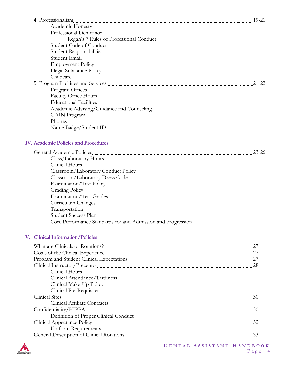|                                                              | $19 - 21$ |
|--------------------------------------------------------------|-----------|
| Academic Honesty                                             |           |
| Professional Demeanor                                        |           |
| Regan's 7 Rules of Professional Conduct                      |           |
| Student Code of Conduct                                      |           |
| <b>Student Responsibilities</b>                              |           |
| Student Email                                                |           |
| <b>Employment Policy</b>                                     |           |
| <b>Illegal Substance Policy</b>                              |           |
| Childcare                                                    |           |
|                                                              | $21 - 22$ |
| Program Offices                                              |           |
| <b>Faculty Office Hours</b>                                  |           |
| <b>Educational Facilities</b>                                |           |
| Academic Advising/Guidance and Counseling                    |           |
| <b>GAIN</b> Program                                          |           |
| Phones                                                       |           |
| Name Badge/Student ID                                        |           |
| <b>IV. Academic Policies and Procedures</b>                  |           |
|                                                              |           |
|                                                              | $23 - 26$ |
| Class/Laboratory Hours                                       |           |
| Clinical Hours                                               |           |
| Classroom/Laboratory Conduct Policy                          |           |
| Classroom/Laboratory Dress Code                              |           |
| Examination/Test Policy                                      |           |
| <b>Grading Policy</b>                                        |           |
| <b>Examination/Test Grades</b>                               |           |
| Curriculum Changes                                           |           |
| Transportation                                               |           |
| Student Success Plan                                         |           |
| Core Performance Standards for and Admission and Progression |           |
| V. Clinical Information/Policies                             |           |
| What are Clinicals or Rotations? 27                          |           |
|                                                              |           |
|                                                              |           |
|                                                              |           |
| Clinical Hours                                               |           |

| Clinical Attendance/Tardiness         |       |
|---------------------------------------|-------|
| Clinical Make-Up Policy               |       |
| Clinical Pre-Requisites               |       |
|                                       | $-30$ |
| Clinical Affiliate Contracts          |       |
|                                       | -30   |
| Definition of Proper Clinical Conduct |       |
|                                       | 32    |
| Uniform Requirements                  |       |
|                                       |       |
|                                       |       |

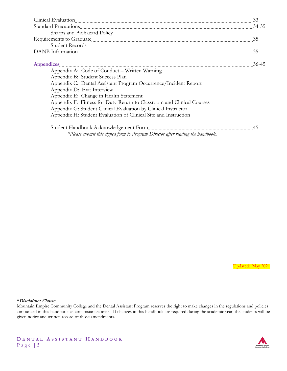| Clinical Evaluation 233                                                                                                                                                                                                            |       |
|------------------------------------------------------------------------------------------------------------------------------------------------------------------------------------------------------------------------------------|-------|
| Standard Precautions 24-35                                                                                                                                                                                                         |       |
| Sharps and Biohazard Policy                                                                                                                                                                                                        |       |
|                                                                                                                                                                                                                                    | 35    |
| Student Records                                                                                                                                                                                                                    |       |
|                                                                                                                                                                                                                                    |       |
| Appendices <b>Material Constitution Constitution</b> and a series of the series of the series of the series of the series of the series of the series of the series of the series of the series of the series of the series of the | 36-45 |
| Appendix A: Code of Conduct – Written Warning                                                                                                                                                                                      |       |
| Appendix B: Student Success Plan                                                                                                                                                                                                   |       |
| Appendix C: Dental Assistant Program Occurrence/Incident Report                                                                                                                                                                    |       |
| Appendix D: Exit Interview                                                                                                                                                                                                         |       |
| Appendix E: Change in Health Statement                                                                                                                                                                                             |       |
| Appendix F: Fitness for Duty-Return to Classroom and Clinical Courses                                                                                                                                                              |       |
| Appendix G: Student Clinical Evaluation by Clinical Instructor                                                                                                                                                                     |       |
| Appendix H: Student Evaluation of Clinical Site and Instruction                                                                                                                                                                    |       |
|                                                                                                                                                                                                                                    |       |
| *Please submit this signed form to Program Director after reading the handbook.                                                                                                                                                    |       |

Updated: May 2021

#### **\*Disclaimer Clause**

Mountain Empire Community College and the Dental Assistant Program reserves the right to make changes in the regulations and policies announced in this handbook as circumstances arise. If changes in this handbook are required during the academic year, the students will be given notice and written record of those amendments.

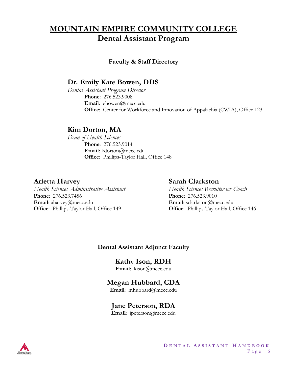# **MOUNTAIN EMPIRE COMMUNITY COLLEGE Dental Assistant Program**

#### **Faculty & Staff Directory**

# **Dr. Emily Kate Bowen, DDS**

*Dental Assistant Program Director* **Phone**: 276.523.9008 **Email**: ebowen@mecc.edu **Office**: Center for Workforce and Innovation of Appalachia (CWIA), Office 123

# **Kim Dorton, MA**

*Dean of Health Sciences* **Phone**: 276.523.9014 **Email**: kdorton@mecc.edu **Office**: Phillips-Taylor Hall, Office 148

### **Arietta Harvey Sarah Clarkston**

*Health Sciences Administrative Assistant Health Sciences Recruiter & Coach* **Phone**: 276.523.7456 **Phone**: 276.523.9010 **Email**: aharvey@mecc.edu **Email**: sclarkston@mecc.edu **Office**: Phillips-Taylor Hall, Office 149 **Office**: Phillips-Taylor Hall, Office 146

### **Dental Assistant Adjunct Faculty**

**Kathy Ison, RDH Email**: kison@mecc.edu

# **Megan Hubbard, CDA**

**Email**: mhubbard@mecc.edu

# **Jane Peterson, RDA**

**Email**: jpeterson@mecc.edu

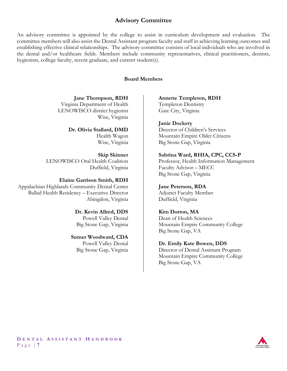#### **Advisory Committee**

An advisory committee is appointed by the college to assist in curriculum development and evaluation. The committee members will also assist the Dental Assistant program faculty and staff in achieving learning outcomes and establishing effective clinical relationships. The advisory committee consists of local individuals who are involved in the dental and/or healthcare fields. Members include community representatives, clinical practitioners, dentists, hygienists, college faculty, recent graduate, and current student(s).

#### **Board Members**

**Jane Thompson, RDH** Virginia Department of Health LENOWISCO district hygienist Wise, Virginia

#### **Dr. Olivia Stallard, DMD**

Health Wagon Wise, Virginia

**Skip Skinner** LENOWISCO Oral Health Coalition Duffield, Virginia

#### **Elaine Garrison Smith, RDH**

Appalachian Highlands Community Dental Center Ballad Health Residency – Executive Director Abingdon, Virginia

#### **Dr. Kevin Allred, DDS** Powell Valley Dental

Big Stone Gap, Virginia

#### **Sumer Woodward, CDA**

Powell Valley Dental Big Stone Gap, Virginia

#### **Annette Templeton, RDH** Templeton Dentistry Gate City, Virginia

**Janie Dockery**

Director of Children's Services Mountain Empire Older Citizens Big Stone Gap, Virginia

#### **Sabrina Ward, RHIA, CPC, CCS-P**

Professor, Health Information Management Faculty Advisor – MECC Big Stone Gap, Virginia

#### **Jane Peterson, RDA**

Adjunct Faculty Member Duffield, Virginia

#### **Kim Dorton, MA**

Dean of Health Sciences Mountain Empire Community College Big Stone Gap, VA

#### **Dr. Emily Kate Bowen, DDS**

Director of Dental Assistant Program Mountain Empire Community College Big Stone Gap, VA

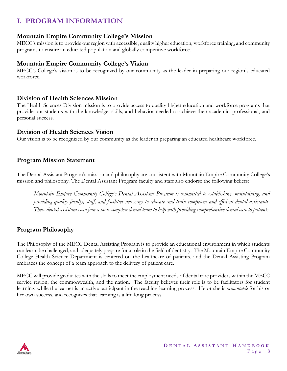# **I. PROGRAM INFORMATION**

#### **Mountain Empire Community College's Mission**

MECC's mission is to provide our region with accessible, quality higher education, workforce training, and community programs to ensure an educated population and globally competitive workforce.

#### **Mountain Empire Community College's Vision**

MECC's College's vision is to be recognized by our community as the leader in preparing our region's educated workforce.

#### **Division of Health Sciences Mission**

The Health Sciences Division mission is to provide access to quality higher education and workforce programs that provide our students with the knowledge, skills, and behavior needed to achieve their academic, professional, and personal success.

#### **Division of Health Sciences Vision**

Our vision is to be recognized by our community as the leader in preparing an educated healthcare workforce.

#### **Program Mission Statement**

The Dental Assistant Program's mission and philosophy are consistent with Mountain Empire Community College's mission and philosophy. The Dental Assistant Program faculty and staff also endorse the following beliefs:

*Mountain Empire Community College's Dental Assistant Program is committed to establishing, maintaining, and providing quality faculty, staff, and facilities necessary to educate and train competent and efficient dental assistants. These dental assistants can join a more complex dental team to help with providing comprehensive dental care to patients.* 

### **Program Philosophy**

The Philosophy of the MECC Dental Assisting Program is to provide an educational environment in which students can learn, be challenged, and adequately prepare for a role in the field of dentistry. The Mountain Empire Community College Health Science Department is centered on the healthcare of patients, and the Dental Assisting Program embraces the concept of a team approach to the delivery of patient care.

MECC will provide graduates with the skills to meet the employment needs of dental care providers within the MECC service region, the commonwealth, and the nation. The faculty believes their role is to be facilitators for student learning, while the learner is an active participant in the teaching-learning process. He or she is *accountable* for his or her own success, and recognizes that learning is a life-long process.

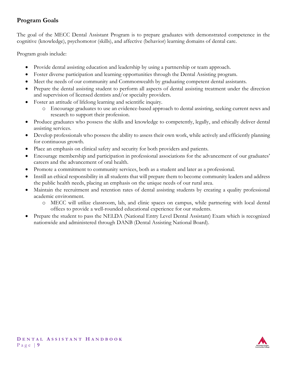### **Program Goals**

The goal of the MECC Dental Assistant Program is to prepare graduates with demonstrated competence in the cognitive (knowledge), psychomotor (skills), and affective (behavior) learning domains of dental care.

Program goals include:

- Provide dental assisting education and leadership by using a partnership or team approach.
- Foster diverse participation and learning opportunities through the Dental Assisting program.
- Meet the needs of our community and Commonwealth by graduating competent dental assistants.
- Prepare the dental assisting student to perform all aspects of dental assisting treatment under the direction and supervision of licensed dentists and/or specialty providers.
- Foster an attitude of lifelong learning and scientific inquiry.
	- o Encourage graduates to use an evidence-based approach to dental assisting, seeking current news and research to support their profession.
- Produce graduates who possess the skills and knowledge to competently, legally, and ethically deliver dental assisting services.
- Develop professionals who possess the ability to assess their own work, while actively and efficiently planning for continuous growth.
- Place an emphasis on clinical safety and security for both providers and patients.
- Encourage membership and participation in professional associations for the advancement of our graduates' careers and the advancement of oral health.
- Promote a commitment to community services, both as a student and later as a professional.
- Instill an ethical responsibility in all students that will prepare them to become community leaders and address the public health needs, placing an emphasis on the unique needs of our rural area.
- Maintain the recruitment and retention rates of dental assisting students by creating a quality professional academic environment.
	- o MECC will utilize classroom, lab, and clinic spaces on campus, while partnering with local dental offices to provide a well-rounded educational experience for our students.
- Prepare the student to pass the NELDA (National Entry Level Dental Assistant) Exam which is recognized nationwide and administered through DANB (Dental Assisting National Board).

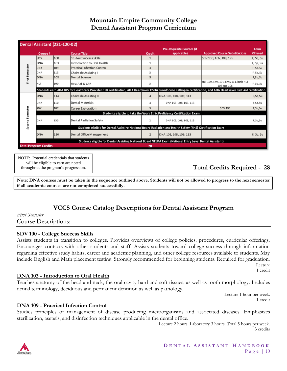### **Mountain Empire Community College Dental Assistant Program Curriculum**

|                                                                                                            | <b>Dental Assistant (221-120-02)</b> |     |                                                                                                                                                                    |                |                                                                         |                                                    |                |
|------------------------------------------------------------------------------------------------------------|--------------------------------------|-----|--------------------------------------------------------------------------------------------------------------------------------------------------------------------|----------------|-------------------------------------------------------------------------|----------------------------------------------------|----------------|
|                                                                                                            |                                      |     |                                                                                                                                                                    |                | <b>Pre-Requisite Courses (if</b>                                        |                                                    | <b>Term</b>    |
|                                                                                                            | Course #                             |     | <b>Course Title</b>                                                                                                                                                | <b>Credit</b>  | applicable)                                                             | <b>Approved Course Substitutions</b>               | <b>Offered</b> |
|                                                                                                            | <b>SDV</b>                           | 100 | Student Success Skills                                                                                                                                             | 1              |                                                                         | SDV 100, 106, 108, 195                             | F, Sp, Su      |
|                                                                                                            | DNA                                  | 103 | Introduction to Oral Health                                                                                                                                        |                |                                                                         |                                                    | F, Sp, Su      |
| <b>First Semester</b>                                                                                      | DNA                                  | 109 | <b>Practical Infection Control</b>                                                                                                                                 | $\overline{3}$ |                                                                         |                                                    | F, Sp, Su      |
|                                                                                                            | DNA                                  | 113 | Chairside Assisting I                                                                                                                                              | 3              |                                                                         |                                                    | F, Sp, Su      |
|                                                                                                            | <b>DNA</b>                           | 108 | Dental Science                                                                                                                                                     | $\overline{3}$ |                                                                         |                                                    | F,Sp,Su        |
|                                                                                                            | HLT                                  | 100 | First Aid & CPR                                                                                                                                                    | 3              |                                                                         | HLT 119, EMS 101, EMS 111, both HLT<br>105 and 106 | F, Sp, Su      |
|                                                                                                            |                                      |     | Students earn AHA BLS for Healthcare Provider CPR certification, AHA Heartsaver OSHA Bloodborne Pathogen certification, and AHA Heartsaver First Aid certification |                |                                                                         |                                                    |                |
|                                                                                                            | DNA                                  | 114 | Chairside Assisting II                                                                                                                                             | $\overline{a}$ | DNA 103, 108, 109, 113                                                  |                                                    | F,Sp,Su        |
|                                                                                                            | DNA                                  | 110 | Dental Materials                                                                                                                                                   | 3              | DNA 103, 108, 109, 113                                                  |                                                    | F,Sp,Su        |
|                                                                                                            | SDV                                  | 107 | Career Exploration                                                                                                                                                 | $\overline{3}$ |                                                                         | <b>SDV 195</b>                                     | F,Sp,Su        |
|                                                                                                            |                                      |     |                                                                                                                                                                    |                | Students eligible to take the Work Ethic Proficiency Certification Exam |                                                    |                |
| Second Semester                                                                                            | DNA                                  | 135 | Dental Radiation Safety                                                                                                                                            | $\overline{2}$ | DNA 103, 108, 109, 113                                                  |                                                    | F,Sp,Su        |
| Students eligible for Dental Assisting National Board Radiation and Health Safety (RHS) Certification Exam |                                      |     |                                                                                                                                                                    |                |                                                                         |                                                    |                |
|                                                                                                            | <b>DNA</b>                           | 130 | Dental Office Management                                                                                                                                           | $\overline{2}$ | DNA 103, 108, 109, 113                                                  |                                                    | F, Sp, Su      |
| Students eligible for Dental Assisting National Board NELDA Exam (National Entry Level Dental Assistant)   |                                      |     |                                                                                                                                                                    |                |                                                                         |                                                    |                |
|                                                                                                            | <b>Total Program Credits</b><br>28   |     |                                                                                                                                                                    |                |                                                                         |                                                    |                |

NOTE: Potential credentials that students will be eligible to earn are noted throughout the program's progression.

# **Total Credits Required - 28**

**Note: DNA courses must be taken in the sequence outlined above. Students will not be allowed to progress to the next semester if all academic courses are not completed successfully.**

### **VCCS Course Catalog Descriptions for Dental Assistant Program**

*First Semester* Course Descriptions:

#### **SDV 100 - College Success Skills**

Assists students in transition to colleges. Provides overviews of college policies, procedures, curricular offerings. Encourages contacts with other students and staff. Assists students toward college success through information regarding effective study habits, career and academic planning, and other college resources available to students. May include English and Math placement testing. Strongly recommended for beginning students. Required for graduation. Lecture

1 credit

#### **DNA 103 - Introduction to Oral Health**

Teaches anatomy of the head and neck, the oral cavity hard and soft tissues, as well as tooth morphology. Includes dental terminology, deciduous and permanent dentition as well as pathology.

> Lecture 1 hour per week. 1 credit

#### **DNA 109 - Practical Infection Control**

Studies principles of management of disease producing microorganisms and associated diseases. Emphasizes sterilization, asepsis, and disinfection techniques applicable in the dental office.

> Lecture 2 hours. Laboratory 3 hours. Total 5 hours per week. 3 credits

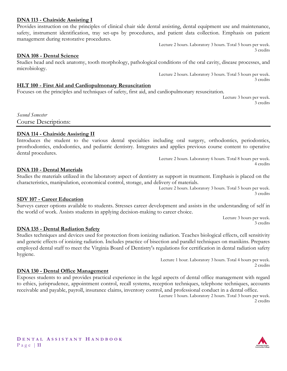#### **DNA 113 - Chairside Assisting I**

Provides instruction on the principles of clinical chair side dental assisting, dental equipment use and maintenance, safety, instrument identification, tray set-ups by procedures, and patient data collection. Emphasis on patient management during restorative procedures.

> Lecture 2 hours. Laboratory 3 hours. Total 5 hours per week. 3 credits

#### **DNA 108 - Dental Science**

Studies head and neck anatomy, tooth morphology, pathological conditions of the oral cavity, disease processes, and microbiology.

> Lecture 2 hours. Laboratory 3 hours. Total 5 hours per week. 3 credits

#### **HLT 100 - First Aid and Cardiopulmonary Resuscitation**

Focuses on the principles and techniques of safety, first aid, and cardiopulmonary resuscitation.

Lecture 3 hours per week. 3 credits

*Second Semester* Course Descriptions:

#### **DNA 114 - Chairside Assisting II**

Introduces the student to the various dental specialties including oral surgery, orthodontics, periodontics, prosthodontics, endodontics, and pediatric dentistry. Integrates and applies previous course content to operative dental procedures.

> Lecture 2 hours. Laboratory 6 hours. Total 8 hours per week. 4 credits

#### **DNA 110 - Dental Materials**

Studies the materials utilized in the laboratory aspect of dentistry as support in treatment. Emphasis is placed on the characteristics, manipulation, economical control, storage, and delivery of materials.

> Lecture 2 hours. Laboratory 3 hours. Total 5 hours per week. 3 credits

#### **SDV 107 - Career Education**

Surveys career options available to students. Stresses career development and assists in the understanding of self in the world of work. Assists students in applying decision-making to career choice.

> Lecture 3 hours per week. 3 credits

#### **DNA 135 - Dental Radiation Safety**

Studies techniques and devices used for protection from ionizing radiation. Teaches biological effects, cell sensitivity and genetic effects of ionizing radiation. Includes practice of bisection and parallel techniques on manikins. Prepares employed dental staff to meet the Virginia Board of Dentistry's regulations for certification in dental radiation safety hygiene.

> Lecture 1 hour. Laboratory 3 hours. Total 4 hours per week. 2 credits

#### **DNA 130 - Dental Office Management**

Exposes students to and provides practical experience in the legal aspects of dental office management with regard to ethics, jurisprudence, appointment control, recall systems, reception techniques, telephone techniques, accounts receivable and payable, payroll, insurance claims, inventory control, and professional conduct in a dental office.

> Lecture 1 hours. Laboratory 2 hours. Total 3 hours per week. 2 credits

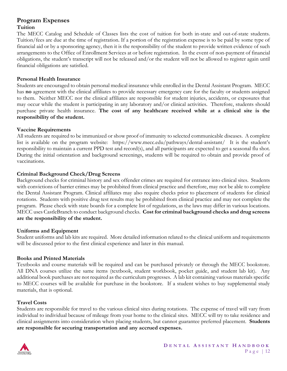#### **Program Expenses Tuition**

The MECC Catalog and Schedule of Classes lists the cost of tuition for both in-state and out-of-state students. Tuition/fees are due at the time of registration. If a portion of the registration expense is to be paid by some type of financial aid or by a sponsoring agency, then it is the responsibility of the student to provide written evidence of such arrangements to the Office of Enrollment Services at or before registration. In the event of non-payment of financial obligations, the student's transcript will not be released and/or the student will not be allowed to register again until financial obligations are satisfied.

#### **Personal Health Insurance**

Students are encouraged to obtain personal medical insurance while enrolled in the Dental Assistant Program. MECC has **no** agreement with the clinical affiliates to provide necessary emergency care for the faculty or students assigned to them. Neither MECC nor the clinical affiliates are responsible for student injuries, accidents, or exposures that may occur while the student is participating in any laboratory and/or clinical activities. Therefore, students should purchase private health insurance. **The cost of any healthcare received while at a clinical site is the responsibility of the student.**

#### **Vaccine Requirements**

All students are required to be immunized or show proof of immunity to selected communicable diseases. A complete list is available on the program website: https://www.mecc.edu/pathways/dental-assistant/ It is the student's responsibility to maintain a current PPD test and record(s), and all participants are expected to get a seasonal flu shot. During the initial orientation and background screenings, students will be required to obtain and provide proof of vaccinations.

#### **Criminal Background Check/Drug Screens**

Background checks for criminal history and sex offender crimes are required for entrance into clinical sites. Students with convictions of barrier crimes may be prohibited from clinical practice and therefore, may not be able to complete the Dental Assistant Program. Clinical affiliates may also require checks prior to placement of students for clinical rotations. Students with positive drug test results may be prohibited from clinical practice and may not complete the program. Please check with state boards for a complete list of regulations, as the laws may differ in various locations. MECC uses CastleBranch to conduct background checks. **Cost for criminal background checks and drug screens are the responsibility of the student.**

#### **Uniforms and Equipment**

Student uniforms and lab kits are required. More detailed information related to the clinical uniform and requirements will be discussed prior to the first clinical experience and later in this manual.

#### **Books and Printed Materials**

Textbooks and course materials will be required and can be purchased privately or through the MECC bookstore. All DNA courses utilize the same items (textbook, student workbook, pocket guide, and student lab kit). Any additional book purchases are not required as the curriculum progresses. A lab kit containing various materials specific to MECC courses will be available for purchase in the bookstore. If a student wishes to buy supplemental study materials, that is optional.

#### **Travel Costs**

Students are responsible for travel to the various clinical sites during rotations. The expense of travel will vary from individual to individual because of mileage from your home to the clinical sites. MECC will try to take residence and clinical assignments into consideration when placing students, but cannot guarantee preferred placement. **Students are responsible for securing transportation and any accrued expenses.**

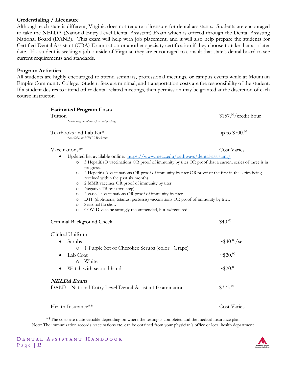#### **Credentialing / Licensure**

Although each state is different, Virginia does not require a licensure for dental assistants. Students are encouraged to take the NELDA (National Entry Level Dental Assistant) Exam which is offered through the Dental Assisting National Board (DANB). This exam will help with job placement, and it will also help prepare the students for Certified Dental Assistant (CDA) Examination or another specialty certification if they choose to take that at a later date. If a student is seeking a job outside of Virginia, they are encouraged to consult that state's dental board to see current requirements and standards.

#### **Program Activities**

All students are highly encouraged to attend seminars, professional meetings, or campus events while at Mountain Empire Community College. Student fees are minimal, and transportation costs are the responsibility of the student. If a student desires to attend other dental-related meetings, then permission may be granted at the discretion of each course instructor.

| Tuition<br>*Including mandatory fees and parking                                                                                                                                                                                                                                                                                                                                                                                                                                                                                                                                                                                                                                                    | $$157.^{00}/$ credit hour       |  |
|-----------------------------------------------------------------------------------------------------------------------------------------------------------------------------------------------------------------------------------------------------------------------------------------------------------------------------------------------------------------------------------------------------------------------------------------------------------------------------------------------------------------------------------------------------------------------------------------------------------------------------------------------------------------------------------------------------|---------------------------------|--|
| Textbooks and Lab Kit*<br>* available in MECC Bookstore                                                                                                                                                                                                                                                                                                                                                                                                                                                                                                                                                                                                                                             | up to $$700.00$                 |  |
| Vaccinations**                                                                                                                                                                                                                                                                                                                                                                                                                                                                                                                                                                                                                                                                                      | <b>Cost Varies</b>              |  |
| Updated list available online: https://www.mecc.edu/pathways/dental-assistant/                                                                                                                                                                                                                                                                                                                                                                                                                                                                                                                                                                                                                      |                                 |  |
| 3 Hepatitis B vaccinations OR proof of immunity by titer OR proof that a current series of three is in<br>$\circ$<br>progress.<br>2 Hepatitis A vaccinations OR proof of immunity by titer OR proof of the first in the series being<br>$\circ$<br>received within the past six months<br>2 MMR vaccines OR proof of immunity by titer.<br>$\circ$<br>Negative TB test (two-step).<br>$\circ$<br>2 varicella vaccinations OR proof of immunity by titer.<br>$\circ$<br>DTP (diphtheria, tetanus, pertussis) vaccinations OR proof of immunity by titer.<br>$\circ$<br>Seasonal flu shot.<br>$\circ$<br>COVID vaccine strongly recommended, but not required<br>$\circ$<br>Criminal Background Check | \$40. <sup>00</sup>             |  |
|                                                                                                                                                                                                                                                                                                                                                                                                                                                                                                                                                                                                                                                                                                     |                                 |  |
| Clinical Uniform                                                                                                                                                                                                                                                                                                                                                                                                                                                                                                                                                                                                                                                                                    |                                 |  |
| Scrubs<br>$\bullet$                                                                                                                                                                                                                                                                                                                                                                                                                                                                                                                                                                                                                                                                                 | $\sim$ \$40. <sup>00</sup> /set |  |
| 1 Purple Set of Cherokee Scrubs (color: Grape)<br>$\circ$<br>Lab Coat<br>White<br>$\circ$                                                                                                                                                                                                                                                                                                                                                                                                                                                                                                                                                                                                           | $~10^{-9}$                      |  |
| Watch with second hand                                                                                                                                                                                                                                                                                                                                                                                                                                                                                                                                                                                                                                                                              | $~1.820$ <sup>00</sup>          |  |
| <b>NELDA Exam</b>                                                                                                                                                                                                                                                                                                                                                                                                                                                                                                                                                                                                                                                                                   |                                 |  |
| DANB - National Entry Level Dental Assistant Examination                                                                                                                                                                                                                                                                                                                                                                                                                                                                                                                                                                                                                                            | $$375.^{00}$                    |  |
| Health Insurance**                                                                                                                                                                                                                                                                                                                                                                                                                                                                                                                                                                                                                                                                                  | <b>Cost Varies</b>              |  |

\*\*The costs are quite variable depending on where the testing is completed and the medical insurance plan. Note: The immunization records, vaccinations etc. can be obtained from your physician's office or local health department.

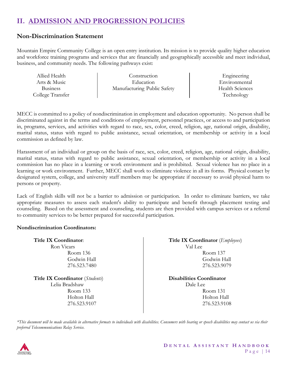# **II. ADMISSION AND PROGRESSION POLICIES**

#### **Non-Discrimination Statement**

Mountain Empire Community College is an open entry institution. Its mission is to provide quality higher education and workforce training programs and services that are financially and geographically accessible and meet individual, business, and community needs. The following pathways exist:

| Allied Health    | Construction                | Engineering            |
|------------------|-----------------------------|------------------------|
| Arts & Music     | Education                   | Environmental          |
| <b>Business</b>  | Manufacturing Public Safety | <b>Health Sciences</b> |
| College Transfer |                             | Technology             |

MECC is committed to a policy of nondiscrimination in employment and education opportunity. No person shall be discriminated against in the terms and conditions of employment, personnel practices, or access to and participation in, programs, services, and activities with regard to race, sex, color, creed, religion, age, national origin, disability, marital status, status with regard to public assistance, sexual orientation, or membership or activity in a local commission as defined by law.

Harassment of an individual or group on the basis of race, sex, color, creed, religion, age, national origin, disability, marital status, status with regard to public assistance, sexual orientation, or membership or activity in a local commission has no place in a learning or work environment and is prohibited. Sexual violence has no place in a learning or work environment. Further, MECC shall work to eliminate violence in all its forms. Physical contact by designated system, college, and university staff members may be appropriate if necessary to avoid physical harm to persons or property.

Lack of English skills will not be a barrier to admission or participation. In order to eliminate barriers, we take appropriate measures to assess each student's ability to participate and benefit through placement testing and counseling. Based on the assessment and counseling, students are then provided with campus services or a referral to community services to be better prepared for successful participation.

#### **Nondiscrimination Coordinators:**

| <b>Title IX Coordinator:</b> |  |  |  |
|------------------------------|--|--|--|
| Ron Vicars                   |  |  |  |
| Room 136                     |  |  |  |
| Godwin Hall                  |  |  |  |
| 276.523.7480                 |  |  |  |
|                              |  |  |  |

**Title IX Coordinator** (*Students*) Lelia Bradshaw Room 133 Holton Hall 276.523.9107

**Title IX Coordinator** (*Employees*) Val Lee Room 137 Godwin Hall 276.523.9079

**Disabilities Coordinator** Dale Lee Room 131 Holton Hall 276.523.9108

*\*This document will be made available in alternative formats to individuals with disabilities. Consumers with hearing or speech disabilities may contact us via their preferred Telecommunications Relay Service.*

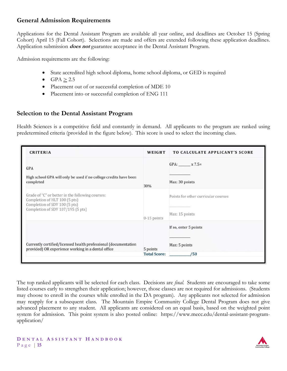#### **General Admission Requirements**

Applications for the Dental Assistant Program are available all year online, and deadlines are October 15 (Spring Cohort) April 15 (Fall Cohort). Selections are made and offers are extended following these application deadlines. Application submission **does not** guarantee acceptance in the Dental Assistant Program.

Admission requirements are the following:

- State accredited high school diploma, home school diploma, or GED is required
- $GPA > 2.5$
- Placement out of or successful completion of MDE 10
- Placement into or successful completion of ENG 111

#### **Selection to the Dental Assistant Program**

Health Sciences is a competitive field and constantly in demand. All applicants to the program are ranked using predetermined criteria (provided in the figure below). This score is used to select the incoming class.

| <b>CRITERIA</b>                                                                                                                                         | WEIGHT                          | <b>TO CALCULATE APPLICANT'S SCORE</b>                 |
|---------------------------------------------------------------------------------------------------------------------------------------------------------|---------------------------------|-------------------------------------------------------|
| <b>GPA</b><br>High school GPA will only be used if no college credits have been<br>completed                                                            | 30%                             | $GPA: x 7.5=$<br>Max: 30 points                       |
| Grade of "C" or better in the following courses:<br>Completion of HLT 100 (5 pts)<br>Completion of SDV 100 (5 pts)<br>Completion of SDV 107/195 (5 pts) | $0-15$ points                   | Points for other curricular courses<br>Max: 15 points |
| Currently certified/licensed health professional (documentation<br>provided) OR experience working in a dental office                                   | 5 points<br><b>Total Score:</b> | If so, enter 5 points<br>Max: 5 points<br>/50         |

The top ranked applicants will be selected for each class. Decisions are *final*. Students are encouraged to take some listed courses early to strengthen their application; however, those classes are not required for admissions. (Students may choose to enroll in the courses while enrolled in the DA program). Any applicants not selected for admission may reapply for a subsequent class. The Mountain Empire Community College Dental Program does not give advanced placement to any student. All applicants are considered on an equal basis, based on the weighted point system for admission. This point system is also posted online: https://www.mecc.edu/dental-assistant-programapplication/

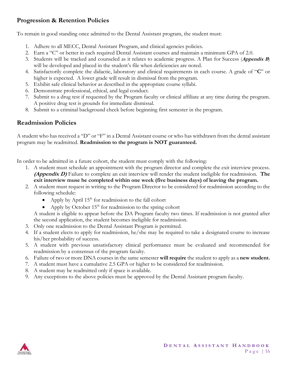### **Progression & Retention Policies**

To remain in good standing once admitted to the Dental Assistant program, the student must:

- 1. Adhere to all MECC, Dental Assistant Program, and clinical agencies policies.
- 2. Earn a "C" or better in each required Dental Assistant courses and maintain a minimum GPA of 2.0.
- 3. Students will be tracked and counseled as it relates to academic progress. A Plan for Success (**Appendix B**) will be developed and placed in the student's file when deficiencies are noted.
- 4. Satisfactorily complete the didactic, laboratory and clinical requirements in each course. A grade of "**C**" or higher is expected. A lower grade will result in dismissal from the program.
- 5. Exhibit safe clinical behavior as described in the appropriate course syllabi.
- 6. Demonstrate professional, ethical, and legal conduct.
- 7. Submit to a drug test if requested by the Program faculty or clinical affiliate at any time during the program. A positive drug test is grounds for immediate dismissal.
- 8. Submit to a criminal background check before beginning first semester in the program.

#### **Readmission Policies**

A student who has received a "D" or "F" in a Dental Assistant course or who has withdrawn from the dental assistant program may be readmitted. **Readmission to the program is NOT guaranteed.**

In order to be admitted in a future cohort, the student must comply with the following:

- 1. A student must schedule an appointment with the program director and complete the exit interview process. **(Appendix D)** Failure to complete an exit interview will render the student ineligible for readmission. **The exit interview muse be completed within one week (five business days) of leaving the program.**
- 2. A student must request in writing to the Program Director to be considered for readmission according to the following schedule:
	- Apply by April  $15<sup>th</sup>$  for readmission to the fall cohort
	- Apply by October  $15<sup>th</sup>$  for readmission to the spring cohort

A student is eligible to appear before the DA Program faculty two times. If readmission is not granted after the second application, the student becomes ineligible for readmission.

- 3. Only one readmission to the Dental Assistant Program is permitted.
- 4. If a student elects to apply for readmission, he/she may be required to take a designated course to increase his/her probability of success.
- 5. A student with previous unsatisfactory clinical performance must be evaluated and recommended for readmission by a consensus of the program faculty.
- 6. Failure of two or more DNA courses in the same semester **will require** the student to apply as a **new student.**
- 7. A student must have a cumulative 2.5 GPA or higher to be considered for readmission.
- 8. A student may be readmitted only if space is available.
- 9. Any exceptions to the above policies must be approved by the Dental Assistant program faculty.

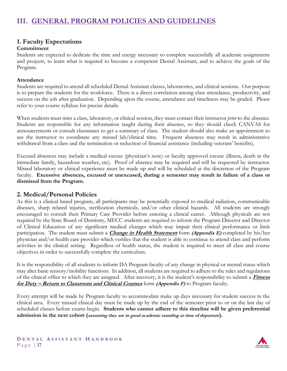#### **1. Faculty Expectations**

#### **Commitment**

Students are expected to dedicate the time and energy necessary to complete successfully all academic assignments and projects, to learn what is required to become a competent Dental Assistant, and to achieve the goals of the Program.

#### **Attendance**

Students are required to attend all scheduled Dental Assistant classes, laboratories, and clinical sessions. Our purpose is to prepare the students for the workforce. There is a direct correlation among class attendance, productivity, and success on the job after graduation. Depending upon the course, attendance and timeliness may be graded. Please refer to your course syllabus for precise details.

When students must miss a class, laboratory, or clinical session, they must contact their instructor *prior* to the absence. Students are responsible for any information taught during their absence, so they should check CANVAS for announcements or consult classmates to get a summary of class. The student should also make an appointment to see the instructor to coordinate any missed lab/clinical time. Frequent absences may result in administrative withdrawal from a class and the termination or reduction of financial assistance (including veterans' benefits).

Excused absences may include a medical excuse (physician's note) or faculty approved excuse (illness, death in the immediate family, hazardous weather, etc). Proof of absence may be required and will be requested by instructor. Missed laboratory or clinical experience must be made up and will be scheduled at the discretion of the Program faculty. **Excessive absences, excused or unexcused, during a semester may result in failure of a class or dismissal from the Program.**

#### **2. Medical/Personal Policies**

As this is a clinical based program, all participants may be potentially exposed to medical radiation, communicable diseases, sharp related injuries, sterilization chemicals, and/or other clinical hazards. All students are strongly encouraged to consult their Primary Care Provider before entering a clinical career. Although physicals are not required by the State Board of Dentistry, MECC students are required to inform the Program Director and Director of Clinical Education of any significant medical changes which may impair their clinical performance or limit participation. The student must submit a **Change in Health Statement** form **(Appendix E)** completed by his/her physician and/or health care provider which verifies that the student is able to continue to attend class and perform activities in the clinical setting. Regardless of health status, the student is required to meet all class and course objectives in order to successfully complete the curriculum.

It is the responsibility of all students to inform DA Program faculty of any change in physical or mental status which may alter basic sensory/mobility functions. In addition, all students are required to adhere to the rules and regulations of the clinical office to which they are assigned. After recovery, it is the student's responsibility to submit a **Fitness for Duty – Return to Classroom and Clinical Courses** form **(Appendix F)** to Program faculty.

Every attempt will be made by Program faculty to accommodate make up days necessary for student success in the clinical area. Every missed clinical day must be made up by the end of the semester prior to or on the last day of scheduled classes before exams begin. **Students who cannot adhere to this timeline will be given preferential admission in the next cohort (assuming they are in good academic standing at time of departure).** 

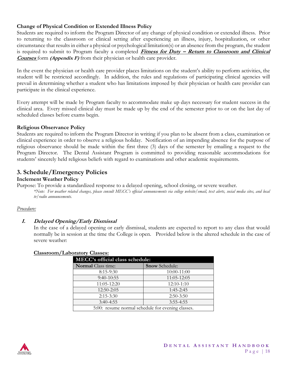#### **Change of Physical Condition or Extended Illness Policy**

Students are required to inform the Program Director of any change of physical condition or extended illness. Prior to returning to the classroom or clinical setting after experiencing an illness, injury, hospitalization, or other circumstance that results in either a physical or psychological limitation(s) or an absence from the program, the student is required to submit to Program faculty a completed **Fitness for Duty – Return to Classroom and Clinical Courses** form **(Appendix F)** from their physician or health care provider.

In the event the physician or health care provider places limitations on the student's ability to perform activities, the student will be restricted accordingly. In addition, the rules and regulations of participating clinical agencies will prevail in determining whether a student who has limitations imposed by their physician or health care provider can participate in the clinical experience.

Every attempt will be made by Program faculty to accommodate make up days necessary for student success in the clinical area. Every missed clinical day must be made up by the end of the semester prior to or on the last day of scheduled classes before exams begin.

#### **Religious Observance Policy**

Students are required to inform the Program Director in writing if you plan to be absent from a class, examination or clinical experience in order to observe a religious holiday. Notification of an impending absence for the purpose of religious observance should be made within the first three (3) days of the semester by emailing a request to the Program Director. The Dental Assistant Program is committed to providing reasonable accommodations for students' sincerely held religious beliefs with regard to examinations and other academic requirements.

#### **3. Schedule/Emergency Policies**

#### **Inclement Weather Policy**

Purpose: To provide a standardized response to a delayed opening, school closing, or severe weather. *\*Note: For weather related changes, please consult MECC's official announcements via college website/email, text alerts, social media sites, and local* 

#### *Procedure:*

#### **I. Delayed Opening/Early Dismissal**

In the case of a delayed opening or early dismissal, students are expected to report to any class that would normally be in session at the time the College is open. Provided below is the altered schedule in the case of severe weather:

| <b>MECC's official class schedule:</b>            |                       |  |  |
|---------------------------------------------------|-----------------------|--|--|
| <b>Normal</b> Class time:                         | <b>Snow Schedule:</b> |  |  |
| $8:15-9:30$                                       | 10:00-11:00           |  |  |
| $9:40-10:55$                                      | 11:05-12:05           |  |  |
| 11:05-12:20                                       | $12:10-1:10$          |  |  |
| $12:50 - 2:05$                                    | 1:45-2:45             |  |  |
| $2:15-3:30$                                       | $2:50-3:50$           |  |  |
| $3:40-4:55$                                       | $3:55 - 4:55$         |  |  |
| 5:00: resume normal schedule for evening classes. |                       |  |  |

#### **Classroom/Laboratory Classes:**



*tv/radio announcements.*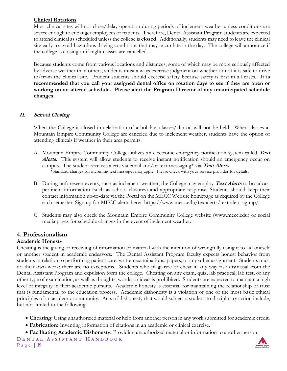#### **Clinical Rotations**

Most clinical sites will not close/delay operation during periods of inclement weather unless conditions are severe enough to endanger employees or patients. Therefore, Dental Assistant Program students are expected to attend clinical as scheduled unless the college is **closed**. Additionally, students may need to leave the clinical site early to avoid hazardous driving conditions that may occur late in the day. The college will announce if the college is closing or if night classes are cancelled.

Because students come from various locations and distances, some of which may be more seriously affected by adverse weather than others, students must always exercise judgment on whether or not it is safe to drive to/from the clinical site. Prudent students should exercise safety because safety is first in all cases. **It is recommended that you call your assigned dental office on rotation days to see if they are open or working on an altered schedule. Please alert the Program Director of any unanticipated schedule changes.**

#### **II. School Closing**

When the College is closed in celebration of a holiday, classes/clinical will not be held. When classes at Mountain Empire Community College are canceled due to inclement weather, students have the option of attending clinicals if weather in their area permits.

- A. Mountain Empire Community College utilizes an electronic emergency notification system called **Text Alerts**. This system will allow students to receive instant notification should an emergency occur on campus. The student receives alerts via email and/or text messaging\* via **Text Alerts**. \*Standard charges for incoming text messages may apply. Please check with your service provider for details.
- B. During unforeseen events, such as inclement weather, the College may employ **Text Alerts** to broadcast pertinent information (such as school closures) and appropriate response. Students should keep their contact information up-to-date via the Portal on the MECC Website homepage as required by the College each semester. Sign up for MECC alerts here: https://www.mecc.edu/textalerts/text-alert-signup/
- C. Students may also check the Mountain Empire Community College website (www.mecc.edu) or social media pages for schedule changes in the event of inclement weather.

#### **4. Professionalism**

#### **Academic Honesty**

Cheating is the giving or receiving of information or material with the intention of wrongfully using it to aid oneself or another student in academic endeavors. The Dental Assistant Program faculty expects honest behavior from students in relation to performing patient care, written examinations, papers, or any other assignment. Students must do their own work; there are no exceptions. Students who plagiarize or cheat in any way risk dismissal from the Dental Assistant Program and expulsion form the college. Cheating on any exam, quiz, lab practical, lab test, or any other type of examination, as well as thoughts, words, or ideas is prohibited. Students are expected to maintain a high level of integrity in their academic pursuits. Academic honesty is essential for maintaining the relationship of trust that is fundamental to the education process. Academic dishonesty is a violation of one of the most basic ethical principles of an academic community. Acts of dishonesty that would subject a student to disciplinary action include, but not limited to the following:

- **Cheating:** Using unauthorized material or help from another person in any work submitted for academic credit.
- **Fabrication:** Inventing information of citations in an academic or clinical exercise.
- **Facilitating Academic Dishonesty:** Providing unauthorized material or information to another person.

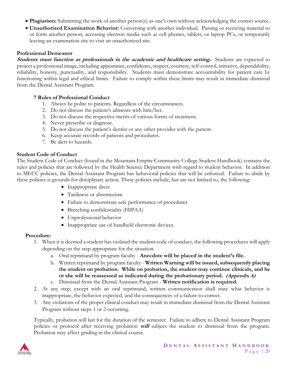- **Plagiarism:** Submitting the work of another person(s) as one's own without acknowledging the correct source.
- **Unauthorized Examination Behavior:** Conversing with another individual. Passing or receiving material to or form another person, accessing electron media such as cell phones, tablets, or laptop PCs, or temporarily leaving an examination site to visit an unauthorized site.

#### **Professional Demeanor**

**Students must function as professionals in the academic and healthcare setting.** Students are expected to project a professional image, including appearance, confidence, respect, courtesy, self-control, initiative, dependability, reliability, honesty, punctuality, and responsibility. Students must demonstrate accountability for patient care by functioning within legal and ethical limits. Failure to comply within these limits may result in immediate dismissal from the Dental Assistant Program.

#### **7 Rules of Professional Conduct**

- 1. Always be polite to patients. Regardless of the circumstances.
- 2. Do not discuss the patient's ailments with him/her.
- 3. Do not discuss the respective merits of various forms of treatment.
- 4. Never prescribe or diagnose.
- 5. Do not discuss the patient's dentist or any other provider with the patient.
- 6. Keep accurate records of patients and procedures.
- 7. Be alert to hazards.

#### **Student Code of Conduct**

The Student Code of Conduct (found in the Mountain Empire Community College Student Handbook) contains the rules and policies that are followed by the Health Science Department with regard to student behavior. In addition to MECC policies, the Dental Assistant Program has behavioral policies that will be enforced. Failure to abide by these policies is grounds for disciplinary action. These policies include, but are not limited to, the following:

- Inappropriate dress
- Tardiness or absenteeism
- Failure to demonstrate safe performance of procedures
- Breeching confidentiality (HIPAA)
- Unprofessional behavior
- Inappropriate use of handheld electronic devices

#### **Procedure:**

- 1. When it is deemed a student has violated the student code of conduct, the following procedures will apply depending on the step appropriate for the situation.
	- a. Oral reprimand by program faculty **Anecdote will be placed in the student's file.**
	- b. Written reprimand by program faculty **Written Warning will be issued, subsequently placing the student on probation. While on probation, the student may continue clinicals, and he or she will be reassessed as indicated during the probationary period. (Appendix A)**
	- c. Dismissal from the Dental Assistant Program **Written notification is required.**
- 2. At any step, except with an oral reprimand, written communication shall state what behavior is inappropriate, the behavior expected, and the consequences of a failure to correct.
- 3. Any violations of the proper clinical conduct may result in immediate dismissal from the Dental Assistant Program without steps 1 or 2 occurring.

Typically, probation will last for the duration of the semester. Failure to adhere to Dental Assistant Program policies or protocol after receiving probation **will** subject the student to dismissal from the program. Probation may affect grading in the clinical course.

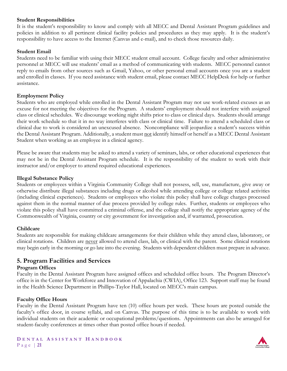#### **Student Responsibilities**

It is the student's responsibility to know and comply with all MECC and Dental Assistant Program guidelines and policies in addition to all pertinent clinical facility policies and procedures as they may apply. It is the student's responsibility to have access to the Internet (Canvas and e-mail), and to check those resources daily.

#### **Student Email**

Students need to be familiar with using their MECC student email account. College faculty and other administrative personnel at MECC will use students' email as a method of communicating with students. MECC personnel cannot reply to emails from other sources such as Gmail, Yahoo, or other personal email accounts once you are a student and enrolled in classes. If you need assistance with student email, please contact MECC HelpDesk for help or further assistance.

#### **Employment Policy**

Students who are employed while enrolled in the Dental Assistant Program may not use work-related excuses as an excuse for not meeting the objectives for the Program. A students' employment should not interfere with assigned class or clinical schedules. We discourage working night shifts prior to class or clinical days. Students should arrange their work schedule so that it in no way interferes with class or clinical time. Failure to attend a scheduled class or clinical due to work is considered an unexcused absence. Noncompliance will jeopardize a student's success within the Dental Assistant Program. Additionally, a student must not identify himself or herself as a MECC Dental Assistant Student when working as an employee in a clinical agency.

Please be aware that students may be asked to attend a variety of seminars, labs, or other educational experiences that may not be in the Dental Assistant Program schedule. It is the responsibility of the student to work with their instructor and/or employer to attend required educational experiences.

#### **Illegal Substance Policy**

Students or employees within a Virginia Community College shall not possess, sell, use, manufacture, give away or otherwise distribute illegal substances including drugs or alcohol while attending college or college related activities (including clinical experiences). Students or employees who violate this policy shall have college charges processed against them in the normal manner of due process provided by college rules. Further, students or employees who violate this policy shall have committed a criminal offense, and the college shall notify the appropriate agency of the Commonwealth of Virginia, country or city government for investigation and, if warranted, prosecution.

#### **Childcare**

Students are responsible for making childcare arrangements for their children while they attend class, laboratory, or clinical rotations. Children are never allowed to attend class, lab, or clinical with the parent. Some clinical rotations may begin early in the morning or go late into the evening. Students with dependent children must prepare in advance.

#### **5. Program Facilities and Services**

#### **Program Offices**

Faculty in the Dental Assistant Program have assigned offices and scheduled office hours. The Program Director's office is in the Center for Workforce and Innovation of Appalachia (CWIA), Office 123. Support staff may be found in the Health Science Department in Phillips-Taylor Hall, located on MECC's main campus.

#### **Faculty Office Hours**

Faculty in the Dental Assistant Program have ten (10) office hours per week. These hours are posted outside the faculty's office door, in course syllabi, and on Canvas. The purpose of this time is to be available to work with individual students on their academic or occupational problems/questions. Appointments can also be arranged for student-faculty conferences at times other than posted office hours if needed.

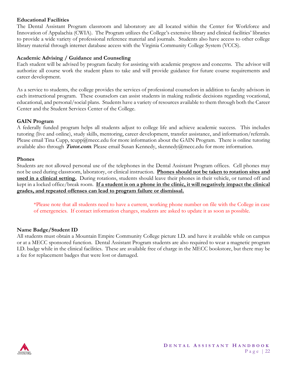#### **Educational Facilities**

The Dental Assistant Program classroom and laboratory are all located within the Center for Workforce and Innovation of Appalachia (CWIA). The Program utilizes the College's extensive library and clinical facilities' libraries to provide a wide variety of professional reference material and journals. Students also have access to other college library material through internet database access with the Virginia Community College System (VCCS).

#### **Academic Advising / Guidance and Counseling**

Each student will be advised by program faculty for assisting with academic progress and concerns. The advisor will authorize all course work the student plans to take and will provide guidance for future course requirements and career development.

As a service to students, the college provides the services of professional counselors in addition to faculty advisors in each instructional program. These counselors can assist students in making realistic decisions regarding vocational, educational, and personal/social plans. Students have a variety of resources available to them through both the Career Center and the Student Services Center of the College.

#### **GAIN Program**

A federally funded program helps all students adjust to college life and achieve academic success. This includes tutoring (live and online), study skills, mentoring, career development, transfer assistance, and information/referrals. Please email Tina Cupp, tcupp@mecc.edu for more information about the GAIN Program. There is online tutoring available also through **Tutor.com**. Please email Susan Kennedy, skennedy@mecc.edu for more information.

#### **Phones**

Students are not allowed personal use of the telephones in the Dental Assistant Program offices. Cell phones may not be used during classroom, laboratory, or clinical instruction. **Phones should not be taken to rotation sites and used in a clinical setting.** During rotations, students should leave their phones in their vehicle, or turned off and kept in a locked office/break room. **If a student is on a phone in the clinic, it will negatively impact the clinical grades, and repeated offenses can lead to program failure or dismissal.**

\*Please note that all students need to have a current, working phone number on file with the College in case of emergencies. If contact information changes, students are asked to update it as soon as possible.

#### **Name Badge/Student ID**

All students must obtain a Mountain Empire Community College picture I.D. and have it available while on campus or at a MECC sponsored function. Dental Assistant Program students are also required to wear a magnetic program I.D. badge while in the clinical facilities. These are available free of charge in the MECC bookstore, but there may be a fee for replacement badges that were lost or damaged.

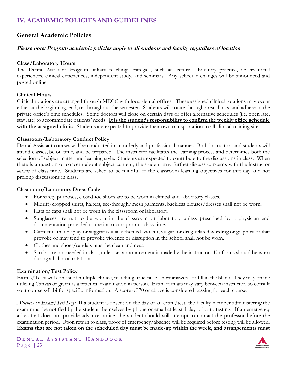### **IV. ACADEMIC POLICIES AND GUIDELINES**

#### **General Academic Policies**

#### **Please note: Program academic policies apply to all students and faculty regardless of location**

#### **Class/Laboratory Hours**

The Dental Assistant Program utilizes teaching strategies, such as lecture, laboratory practice, observational experiences, clinical experiences, independent study, and seminars. Any schedule changes will be announced and posted online.

#### **Clinical Hours**

Clinical rotations are arranged through MECC with local dental offices. These assigned clinical rotations may occur either at the beginning, end, or throughout the semester. Students will rotate through area clinics, and adhere to the private office's time schedules. Some doctors will close on certain days or offer alternative schedules (i.e. open late, stay late) to accommodate patients' needs. **It is the student's responsibility to confirm the weekly office schedule with the assigned clinic**. Students are expected to provide their own transportation to all clinical training sites.

#### **Classroom/Laboratory Conduct Policy**

Dental Assistant courses will be conducted in an orderly and professional manner. Both instructors and students will attend classes, be on time, and be prepared. The instructor facilitates the learning process and determines both the selection of subject matter and learning style. Students are expected to contribute to the discussions in class. When there is a question or concern about subject content, the student may further discuss concerns with the instructor *outside* of class time. Students are asked to be mindful of the classroom learning objectives for that day and not prolong discussions in class.

#### **Classroom/Laboratory Dress Code**

- For safety purposes, closed-toe shoes are to be worn in clinical and laboratory classes.
- Midriff/cropped shirts, halters, see-through/mesh garments, backless blouses/dresses shall not be worn.
- Hats or caps shall not be worn in the classroom or laboratory.
- Sunglasses are not to be worn in the classroom or laboratory unless prescribed by a physician and documentation provided to the instructor prior to class time.
- Garments that display or suggest sexually themed, violent, vulgar, or drug-related wording or graphics or that provoke or may tend to provoke violence or disruption in the school shall not be worn.
- Clothes and shoes/sandals must be clean and neat.
- Scrubs are not needed in class, unless an announcement is made by the instructor. Uniforms should be worn during all clinical rotations.

#### **Examination/Test Policy**

Exams/Tests will consist of multiple choice, matching, true-false, short answers, or fill in the blank. They may online utilizing Canvas or given as a practical examination in person. Exam formats may vary between instructor, so consult your course syllabi for specific information. A score of 70 or above is considered passing for each course.

*Absences on Exam/Test Day:* If a student is absent on the day of an exam/test, the faculty member administering the exam must be notified by the student themselves by phone or email at least 1 day prior to testing. If an emergency arises that does not provide advance notice, the student should still attempt to contact the professor before the examination period. Upon return to class, proof of emergency/absence will be required before testing will be allowed. **Exams that are not taken on the scheduled day must be made-up within the week, and arrangements must** 

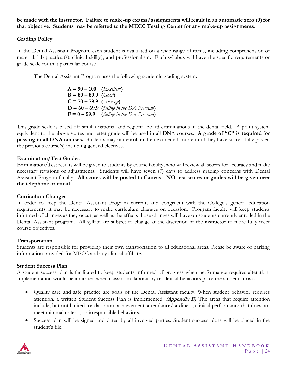#### **be made with the instructor. Failure to make-up exams/assignments will result in an automatic zero (0) for that objective. Students may be referred to the MECC Testing Center for any make-up assignments.**

#### **Grading Policy**

In the Dental Assistant Program, each student is evaluated on a wide range of items, including comprehension of material, lab practical(s), clinical skill(s), and professionalism. Each syllabus will have the specific requirements or grade scale for that particular course.

The Dental Assistant Program uses the following academic grading system:

 $A = 90 - 100$  (*Excellent*)  $B = 80 - 89.9$  (*Good*)  $C = 70 - 79.9$  (*Average*)  $D = 60 - 69.9$  (*failing in the DA Program*)  $F = 0 - 59.9$  (*failing in the DA Program*)

This grade scale is based off similar national and regional board examinations in the dental field. A point system equivalent to the above scores and letter grade will be used in all DNA courses. **A grade of "C" is required for passing in all DNA courses.** Students may not enroll in the next dental course until they have successfully passed the previous course(s) including general electives.

#### **Examination/Test Grades**

Examination/Test results will be given to students by course faculty, who will review all scores for accuracy and make necessary revisions or adjustments. Students will have seven (7) days to address grading concerns with Dental Assistant Program faculty. **All scores will be posted to Canvas - NO test scores or grades will be given over the telephone or email.**

#### **Curriculum Changes**

In order to keep the Dental Assistant Program current, and congruent with the College's general education requirements, it may be necessary to make curriculum changes on occasion. Program faculty will keep students informed of changes as they occur, as well as the effects those changes will have on students currently enrolled in the Dental Assistant program. All syllabi are subject to change at the discretion of the instructor to more fully meet course objectives.

#### **Transportation**

Students are responsible for providing their own transportation to all educational areas. Please be aware of parking information provided for MECC and any clinical affiliate.

#### **Student Success Plan**

A student success plan is facilitated to keep students informed of progress when performance requires alteration. Implementation would be indicated when classroom, laboratory or clinical behaviors place the student at risk.

- Quality care and safe practice are goals of the Dental Assistant faculty. When student behavior requires attention, a written Student Success Plan is implemented. **(Appendix B)** The areas that require attention include, but not limited to: classroom achievement, attendance/tardiness, clinical performance that does not meet minimal criteria, or irresponsible behaviors.
- Success plan will be signed and dated by all involved parties. Student success plans will be placed in the student's file.

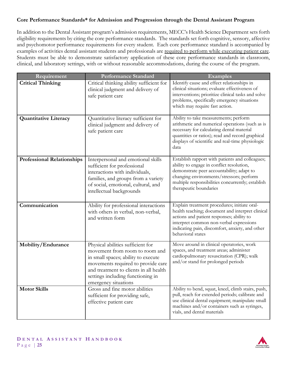#### **Core Performance Standards\* for Admission and Progression through the Dental Assistant Program**

In addition to the Dental Assistant program's admission requirements, MECC's Health Science Department sets forth eligibility requirements by citing the core performance standards. The standards set forth cognitive, sensory, affective and psychomotor performance requirements for every student. Each core performance standard is accompanied by examples of activities dental assistant students and professionals are required to perform while executing patient care. Students must be able to demonstrate satisfactory application of these core performance standards in classroom, clinical, and laboratory settings, with or without reasonable accommodations, during the course of the program.

| Requirement                       | <b>Performance Standard</b>                                                                                                                                                                                                                             | <b>Examples</b>                                                                                                                                                                                                                                                      |
|-----------------------------------|---------------------------------------------------------------------------------------------------------------------------------------------------------------------------------------------------------------------------------------------------------|----------------------------------------------------------------------------------------------------------------------------------------------------------------------------------------------------------------------------------------------------------------------|
| <b>Critical Thinking</b>          | Critical thinking ability sufficient for<br>clinical judgment and delivery of<br>safe patient care                                                                                                                                                      | Identify cause and effect relationships in<br>clinical situations; evaluate effectiveness of<br>interventions; prioritize clinical tasks and solve<br>problems, specifically emergency situations<br>which may require fast action.                                  |
| <b>Quantitative Literacy</b>      | Quantitative literacy sufficient for<br>clinical judgment and delivery of<br>safe patient care                                                                                                                                                          | Ability to take measurements; perform<br>arithmetic and numerical operations (such as is<br>necessary for calculating dental material<br>quantities or ratios); read and record graphical<br>displays of scientific and real-time physiologic<br>data                |
| <b>Professional Relationships</b> | Interpersonal and emotional skills<br>sufficient for professional<br>interactions with individuals,<br>families, and groups from a variety<br>of social, emotional, cultural, and<br>intellectual backgrounds                                           | Establish rapport with patients and colleagues;<br>ability to engage in conflict resolution,<br>demonstrate peer accountability; adapt to<br>changing environments/stressors; perform<br>multiple responsibilities concurrently; establish<br>therapeutic boundaries |
| Communication                     | Ability for professional interactions<br>with others in verbal, non-verbal,<br>and written form                                                                                                                                                         | Explain treatment procedures; initiate oral-<br>health teaching; document and interpret clinical<br>actions and patient responses; ability to<br>interpret common non-verbal expressions<br>indicating pain, discomfort, anxiety, and other<br>behavioral states     |
| Mobility/Endurance                | Physical abilities sufficient for<br>movement from room to room and<br>in small spaces; ability to execute<br>movements required to provide care<br>and treatment to clients in all health<br>settings including functioning in<br>emergency situations | Move around in clinical operatories, work<br>spaces, and treatment areas; administer<br>cardiopulmonary resuscitation (CPR); walk<br>and/or stand for prolonged periods                                                                                              |
| <b>Motor Skills</b>               | Gross and fine motor abilities<br>sufficient for providing safe,<br>effective patient care                                                                                                                                                              | Ability to bend, squat, kneel, climb stairs, push,<br>pull, reach for extended periods; calibrate and<br>use clinical dental equipment; manipulate small<br>machines and/or containers such as syringes,<br>vials, and dental materials                              |

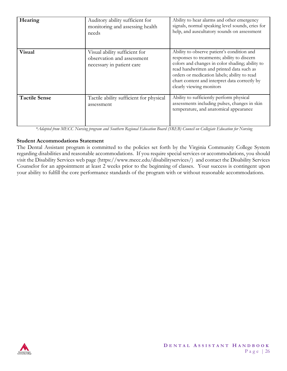| Hearing              | Auditory ability sufficient for<br>monitoring and assessing health<br>needs              | Ability to hear alarms and other emergency<br>signals, normal speaking level sounds, cries for<br>help, and auscultatory sounds on assessment                                                                                                                                                                          |
|----------------------|------------------------------------------------------------------------------------------|------------------------------------------------------------------------------------------------------------------------------------------------------------------------------------------------------------------------------------------------------------------------------------------------------------------------|
| <b>Visual</b>        | Visual ability sufficient for<br>observation and assessment<br>necessary in patient care | Ability to observe patient's condition and<br>responses to treatments; ability to discern<br>colors and changes in color shading; ability to<br>read handwritten and printed data such as<br>orders or medication labels; ability to read<br>chart content and interpret data correctly by<br>clearly viewing monitors |
| <b>Tactile Sense</b> | Tactile ability sufficient for physical<br>assessment                                    | Ability to sufficiently perform physical<br>assessments including pulses, changes in skin<br>temperature, and anatomical appearance                                                                                                                                                                                    |

 *\*Adapted from MECC Nursing program and Southern Regional Education Board (SREB) Council on Collegiate Education for Nursing*

#### **Student Accommodations Statement**

The Dental Assistant program is committed to the policies set forth by the Virginia Community College System regarding disabilities and reasonable accommodations. If you require special services or accommodations, you should visit the Disability Services web page (https://www.mecc.edu/disabilityservices/) and contact the Disability Services Counselor for an appointment at least 2 weeks prior to the beginning of classes. Your success is contingent upon your ability to fulfill the core performance standards of the program with or without reasonable accommodations.

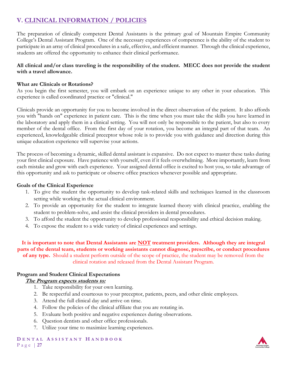# **V. CLINICAL INFORMATION / POLICIES**

The preparation of clinically competent Dental Assistants is the primary goal of Mountain Empire Community College's Dental Assistant Program. One of the necessary experiences of competence is the ability of the student to participate in an array of clinical procedures in a safe, effective, and efficient manner. Through the clinical experience, students are offered the opportunity to enhance their clinical performance.

#### **All clinical and/or class traveling is the responsibility of the student. MECC does not provide the student with a travel allowance.**

#### **What are Clinicals or Rotations?**

As you begin the first semester, you will embark on an experience unique to any other in your education. This experience is called coordinated practice or "clinical."

Clinicals provide an opportunity for you to become involved in the direct observation of the patient. It also affords you with "hands on" experience in patient care. This is the time when you must take the skills you have learned in the laboratory and apply them in a clinical setting. You will not only be responsible to the patient, but also to every member of the dental office. From the first day of your rotation, you become an integral part of that team. An experienced, knowledgeable clinical preceptor whose role is to provide you with guidance and direction during this unique education experience will supervise your actions.

The process of becoming a dynamic, skilled dental assistant is expansive. Do not expect to master these tasks during your first clinical exposure. Have patience with yourself, even if it feels overwhelming. More importantly, learn from each mistake and grow with each experience. Your assigned dental office is excited to host you, so take advantage of this opportunity and ask to participate or observe office practices whenever possible and appropriate.

#### **Goals of the Clinical Experience**

- 1. To give the student the opportunity to develop task-related skills and techniques learned in the classroom setting while working in the actual clinical environment.
- 2. To provide an opportunity for the student to integrate learned theory with clinical practice, enabling the student to problem-solve, and assist the clinical providers in dental procedures.
- 3. To afford the student the opportunity to develop professional responsibility and ethical decision making.
- 4. To expose the student to a wide variety of clinical experiences and settings.

**It is important to note that Dental Assistants are NOT treatment providers. Although they are integral parts of the dental team, students or working assistants cannot diagnose, prescribe, or conduct procedures of any type.** Should a student perform outside of the scope of practice, the student may be removed from the clinical rotation and released from the Dental Assistant Program.

#### **Program and Student Clinical Expectations**

#### **The Program expects students to:**

- 1. Take responsibility for your own learning.
- 2. Be respectful and courteous to your preceptor, patients, peers, and other clinic employees.
- 3. Attend the full clinical day and arrive on time.
- 4. Follow the policies of the clinical affiliate that you are rotating in.
- 5. Evaluate both positive and negative experiences during observations.
- 6. Question dentists and other office professionals.
- 7. Utilize your time to maximize learning experiences.

**D E N T A L A S S I S T A N T H A N D B O O K** P a g e | **27**

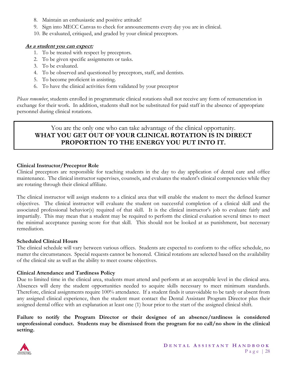- 8. Maintain an enthusiastic and positive attitude!
- 9. Sign into MECC Canvas to check for announcements every day you are in clinical.
- 10. Be evaluated, critiqued, and graded by your clinical preceptors.

#### **As a student you can expect:**

- 1. To be treated with respect by preceptors.
- 2. To be given specific assignments or tasks.
- 3. To be evaluated.
- 4. To be observed and questioned by preceptors, staff, and dentists.
- 5. To become proficient in assisting.
- 6. To have the clinical activities form validated by your preceptor

*Please remember*, students enrolled in programmatic clinical rotations shall not receive any form of remuneration in exchange for their work. In addition, students shall not be substituted for paid staff in the absence of appropriate personnel during clinical rotations.

#### You are the only one who can take advantage of the clinical opportunity. **WHAT YOU GET OUT OF YOUR CLINICAL ROTATION IS IN DIRECT PROPORTION TO THE ENERGY YOU PUT INTO IT.**

#### **Clinical Instructor/Preceptor Role**

Clinical preceptors are responsible for teaching students in the day to day application of dental care and office maintenance. The clinical instructor supervises, counsels, and evaluates the student's clinical competencies while they are rotating through their clinical affiliate.

The clinical instructor will assign students to a clinical area that will enable the student to meet the defined learner objectives. The clinical instructor will evaluate the student on successful completion of a clinical skill and the associated professional behavior(s) required of that skill. It is the clinical instructor's job to evaluate fairly and impartially. This may mean that a student may be required to perform the clinical evaluation several times to meet the minimal acceptance passing score for that skill. This should not be looked at as punishment, but necessary remediation.

#### **Scheduled Clinical Hours**

The clinical schedule will vary between various offices. Students are expected to conform to the office schedule, no matter the circumstances. Special requests cannot be honored. Clinical rotations are selected based on the availability of the clinical site as well as the ability to meet course objectives.

#### **Clinical Attendance and Tardiness Policy**

Due to limited time in the clinical area, students must attend and perform at an acceptable level in the clinical area. Absences will deny the student opportunities needed to acquire skills necessary to meet minimum standards. Therefore, clinical assignments require 100% attendance. If a student finds it unavoidable to be tardy or absent from any assigned clinical experience, then the student must contact the Dental Assistant Program Director plus their assigned dental office with an explanation at least one (1) hour prior to the start of the assigned clinical shift.

**Failure to notify the Program Director or their designee of an absence/tardiness is considered unprofessional conduct. Students may be dismissed from the program for no call/no show in the clinical setting.**

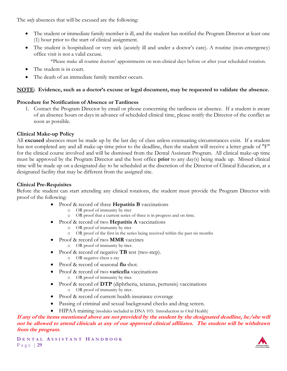The *only* absences that will be excused are the following:

- The student or immediate family member is ill, and the student has notified the Program Director at least one (1) hour prior to the start of clinical assignment.
- The student is hospitalized or very sick (acutely ill and under a doctor's care). A routine (non-emergency) office visit is not a valid excuse.
	- \*Please make all routine doctors' appointments on non-clinical days before or after your scheduled rotation.
- The student is in court.
- The death of an immediate family member occurs.

#### **NOTE: Evidence, such as a doctor's excuse or legal document, may be requested to validate the absence.**

#### **Procedure for Notification of Absence or Tardiness**

1. Contact the Program Director by email or phone concerning the tardiness or absence. If a student is aware of an absence hours or days in advance of scheduled clinical time, please notify the Director of the conflict as soon as possible.

#### **Clinical Make-up Policy**

All **excused** absences must be made up by the last day of class unless extenuating circumstances exist. If a student has not completed any and all make-up time prior to the deadline, then the student will receive a letter grade of "F" for the clinical course involved and will be dismissed from the Dental Assistant Program. All clinical make-up time must be approved by the Program Director and the host office **prior** to any day(s) being made up. Missed clinical time will be made up on a designated day to be scheduled at the discretion of the Director of Clinical Education, at a designated facility that may be different from the assigned site.

#### **Clinical Pre-Requisites**

Before the student can start attending any clinical rotations, the student must provide the Program Director with proof of the following:

- Proof & record of three **Hepatitis B** vaccinations
	- o OR proof of immunity by titer
	- o OR proof that a current series of three is in progress and on time.
- Proof & record of two **Hepatitis A** vaccinations
	- o OR proof of immunity by titer
	- o OR proof of the first in the series being received within the past six months
- Proof & record of two **MMR** vaccines
	- o OR proof of immunity by titer.
- Proof & record of negative **TB** test (two-step).
	- o OR negative chest x-ray
- Proof & record of seasonal **flu** shot.
- Proof & record of two **varicella** vaccinations o OR proof of immunity by titer.
- Proof & record of **DTP** (diphtheria, tetanus, pertussis) vaccinations o OR proof of immunity by titer.
- Proof & record of current health insurance coverage
- Passing of criminal and sexual background checks and drug screen.
- HIPAA training (modules included in DNA 103: Introduction to Oral Health)

#### **If any of the items mentioned above are not provided by the student by the designated deadline, he/she will not be allowed to attend clinicals at any of our approved clinical affiliates. The student will be withdrawn from the program.**

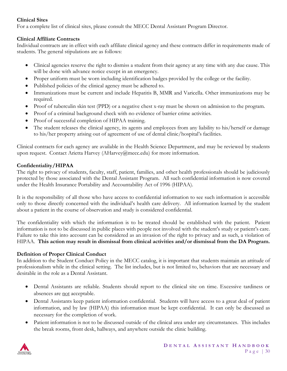#### **Clinical Sites**

For a complete list of clinical sites, please consult the MECC Dental Assistant Program Director.

#### **Clinical Affiliate Contracts**

Individual contracts are in effect with each affiliate clinical agency and these contracts differ in requirements made of students. The general stipulations are as follows:

- Clinical agencies reserve the right to dismiss a student from their agency at any time with any due cause. This will be done with advance notice except in an emergency.
- Proper uniform must be worn including identification badges provided by the college or the facility.
- Published policies of the clinical agency must be adhered to.
- Immunizations must be current and include Hepatitis B, MMR and Varicella. Other immunizations may be required.
- Proof of tuberculin skin test (PPD) or a negative chest x-ray must be shown on admission to the program.
- Proof of a criminal background check with no evidence of barrier crime activities.
- Proof of successful completion of HIPAA training.
- The student releases the clinical agency, its agents and employees from any liability to his/herself or damage to his/her property arising out of agreement of use of dental clinic/hospital's facilities.

Clinical contracts for each agency are available in the Health Science Department, and may be reviewed by students upon request. Contact Arietta Harvey (AHarvey@mecc.edu) for more information.

#### **Confidentiality/HIPAA**

The right to privacy of students, faculty, staff, patient, families, and other health professionals should be judiciously protected by those associated with the Dental Assistant Program. All such confidential information is now covered under the Health Insurance Portability and Accountability Act of 1996 (HIPAA).

It is the responsibility of all those who have access to confidential information to see such information is accessible only to those directly concerned with the individual's health care delivery. All information learned by the student about a patient in the course of observation and study is considered confidential.

The confidentiality with which the information is to be treated should be established with the patient. Patient information is not to be discussed in public places with people not involved with the student's study or patient's care. Failure to take this into account can be considered as an invasion of the right to privacy and as such, a violation of HIPAA. **This action may result in dismissal from clinical activities and/or dismissal from the DA Program.**

#### **Definition of Proper Clinical Conduct**

In addition to the Student Conduct Policy in the MECC catalog, it is important that students maintain an attitude of professionalism while in the clinical setting. The list includes, but is not limited to, behaviors that are necessary and desirable in the role as a Dental Assistant.

- Dental Assistants are reliable. Students should report to the clinical site on time. Excessive tardiness or absences are not acceptable.
- Dental Assistants keep patient information confidential. Students will have access to a great deal of patient information, and by law (HIPAA) this information must be kept confidential. It can only be discussed as necessary for the completion of work.
- Patient information is not to be discussed outside of the clinical area under any circumstances. This includes the break rooms, front desk, hallways, and anywhere outside the clinic building.

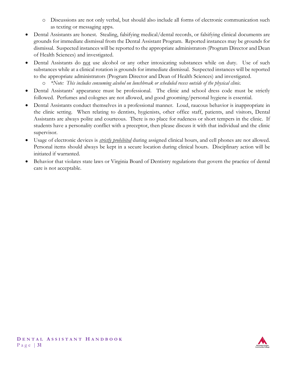- o Discussions are not only verbal, but should also include all forms of electronic communication such as texting or messaging apps.
- Dental Assistants are honest. Stealing, falsifying medical/dental records, or falsifying clinical documents are grounds for immediate dismissal from the Dental Assistant Program. Reported instances may be grounds for dismissal. Suspected instances will be reported to the appropriate administrators (Program Director and Dean of Health Sciences) and investigated.
- Dental Assistants do not use alcohol or any other intoxicating substances while on duty. Use of such substances while at a clinical rotation is grounds for immediate dismissal. Suspected instances will be reported to the appropriate administrators (Program Director and Dean of Health Sciences) and investigated.
	- o *\*Note: This includes consuming alcohol on lunchbreak or scheduled recess outside of the physical clinic.*
- Dental Assistants' appearance must be professional. The clinic and school dress code must be strictly followed. Perfumes and colognes are not allowed, and good grooming/personal hygiene is essential.
- Dental Assistants conduct themselves in a professional manner. Loud, raucous behavior is inappropriate in the clinic setting. When relating to dentists, hygienists, other office staff, patients, and visitors, Dental Assistants are always polite and courteous. There is no place for rudeness or short tempers in the clinic. If students have a personality conflict with a preceptor, then please discuss it with that individual and the clinic supervisor.
- Usage of electronic devices is *strictly prohibited* during assigned clinical hours, and cell phones are not allowed. Personal items should always be kept in a secure location during clinical hours. Disciplinary action will be initiated if warranted.
- Behavior that violates state laws or Virginia Board of Dentistry regulations that govern the practice of dental care is not acceptable.

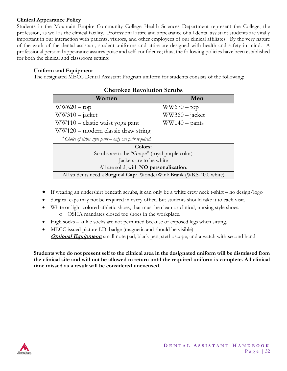#### **Clinical Appearance Policy**

Students in the Mountain Empire Community College Health Sciences Department represent the College, the profession, as well as the clinical facility. Professional attire and appearance of all dental assistant students are vitally important in our interaction with patients, visitors, and other employees of our clinical affiliates. By the very nature of the work of the dental assistant, student uniforms and attire are designed with health and safety in mind. A professional personal appearance assures poise and self-confidence; thus, the following policies have been established for both the clinical and classroom setting:

#### **Uniform and Equipment**

The designated MECC Dental Assistant Program uniform for students consists of the following:

| Women                                                                       | Men                    |  |  |  |
|-----------------------------------------------------------------------------|------------------------|--|--|--|
| $WW620 - top$                                                               | $WW670 - top$          |  |  |  |
| $WW310 - iacket$                                                            | $WW360 - jacket$       |  |  |  |
| WW110 - elastic waist yoga pant                                             | $WW140 - \text{pants}$ |  |  |  |
| WW120 – modern classic draw string                                          |                        |  |  |  |
| *Choice of either style pant $-$ only one pair required.                    |                        |  |  |  |
| Colors:                                                                     |                        |  |  |  |
| Scrubs are to be "Grape" (royal purple color)                               |                        |  |  |  |
| Jackets are to be white                                                     |                        |  |  |  |
| All are solid, with <b>NO</b> personalization.                              |                        |  |  |  |
| All students need a <b>Surgical Cap</b> : WonderWink Brank (WKS-400, white) |                        |  |  |  |

#### **Cherokee Revolution Scrubs**

- If wearing an undershirt beneath scrubs, it can only be a white crew neck t-shirt no design/logo
- Surgical caps may not be required in every office, but students should take it to each visit.
- White or light-colored athletic shoes, that must be clean or clinical, nursing style shoes.

o OSHA mandates closed toe shoes in the workplace.

- High socks ankle socks are not permitted because of exposed legs when sitting.
- MECC issued picture I.D. badge (magnetic and should be visible) **Optional Equipment:** small note pad, black pen, stethoscope, and a watch with second hand

**Students who do not present self to the clinical area in the designated uniform will be dismissed from the clinical site and will not be allowed to return until the required uniform is complete. All clinical time missed as a result will be considered unexcused**.

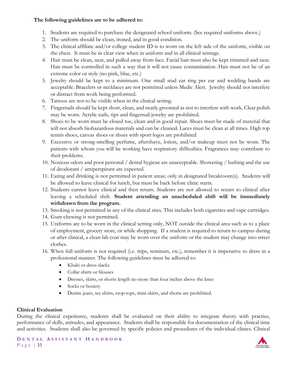#### **The following guidelines are to be adhered to:**

- 1. Students are required to purchase the designated school uniform. (See required uniforms above.)
- 2. The uniform should be clean, ironed, and in good condition.
- 3. The clinical affiliate and/or college student ID is to worn on the left side of the uniform, visible on the chest. It must be in clear view when in uniform and in all clinical settings.
- 4. Hair must be clean, neat, and pulled away from face. Facial hair must also be kept trimmed and neat. Hair must be controlled in such a way that it will not cause contamination. Hair must not be of an extreme color or style (no pink, blue, etc.)
- 5. Jewelry should be kept to a minimum. One small stud ear ring per ear and wedding bands are acceptable. Bracelets or necklaces are not permitted unless Medic Alert. Jewelry should not interfere or distract from work being performed.
- 6. Tattoos are not to be visible when in the clinical setting.
- 7. Fingernails should be kept short, clean, and neatly groomed as not to interfere with work. Clear polish may be worn. Acrylic nails, tips and fingernail jewelry are prohibited.
- 8. Shoes to be worn must be closed toe, clean and in good repair. Shoes must be made of material that will not absorb biohazardous materials and can be cleaned. Laces must be clean at all times. High top tennis shoes, canvas shoes or shoes with sport logos are prohibited
- 9. Excessive or strong-smelling perfume, aftershave, lotion, and/or makeup must not be worn. The patients with whom you will be working have respiratory difficulties. Fragrances may contribute to their problems.
- 10. Noxious odors and poor personal / dental hygiene are unacceptable. Showering / bathing and the use of deodorant / antiperspirant are expected.
- 11. Eating and drinking is not permitted in patient areas; only in designated breakroom(s). Students will be allowed to leave clinical for lunch, but must be back before clinic starts.
- 12. Students cannot leave clinical and then return. Students are not allowed to return to clinical after leaving a scheduled shift. **Student attending an unscheduled shift will be immediately withdrawn from the program.**
- 13. Smoking is not permitted in any of the clinical sites. This includes both cigarettes and vape cartridges.
- 14. Gum chewing is not permitted.
- 15. Uniforms are to be worn in the clinical setting only, NOT outside the clinical area such as to a place of employment, grocery store, or while shopping. If a student is required to return to campus during or after clinical, a clean lab coat may be worn over the uniform or the student may change into street clothes.
- 16. When full uniform is not required (i.e. trips, seminars, etc.), remember it is imperative to dress in a professional manner. The following guidelines must be adhered to:
	- Khaki or dress slacks
	- Collar shirts or blouses
	- Dresses, skirts, or shorts length no more than four inches above the knee
	- Socks or hosiery
	- Denim jeans, tee shirts, crop-tops, mini-skirts, and shorts are prohibited.

#### **Clinical Evaluation**

During the clinical experience, students shall be evaluated on their ability to integrate theory with practice, performance of skills, attitudes, and appearance. Students shall be responsible for documentation of the clinical time and activities. Students shall also be governed by specific policies and procedures of the individual clinics. Clinical

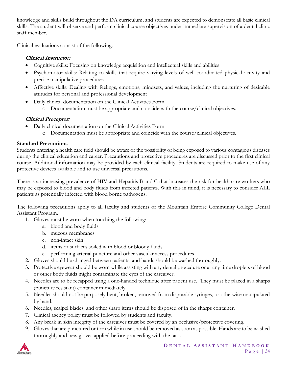knowledge and skills build throughout the DA curriculum, and students are expected to demonstrate all basic clinical skills. The student will observe and perform clinical course objectives under immediate supervision of a dental clinic staff member.

Clinical evaluations consist of the following:

#### **Clinical Instructor:**

- Cognitive skills: Focusing on knowledge acquisition and intellectual skills and abilities
- Psychomotor skills: Relating to skills that require varying levels of well-coordinated physical activity and precise manipulative procedures
- Affective skills: Dealing with feelings, emotions, mindsets, and values, including the nurturing of desirable attitudes for personal and professional development
- Daily clinical documentation on the Clinical Activities Form
	- o Documentation must be appropriate and coincide with the course/clinical objectives.

#### **Clinical Preceptor:**

- Daily clinical documentation on the Clinical Activities Form
	- o Documentation must be appropriate and coincide with the course/clinical objectives.

#### **Standard Precautions**

Students entering a health care field should be aware of the possibility of being exposed to various contagious diseases during the clinical education and career. Precautions and protective procedures are discussed prior to the first clinical course. Additional information may be provided by each clinical facility. Students are required to make use of any protective devices available and to use universal precautions.

There is an increasing prevalence of HIV and Hepatitis B and C that increases the risk for health care workers who may be exposed to blood and body fluids from infected patients. With this in mind, it is necessary to consider ALL patients as potentially infected with blood borne pathogens.

The following precautions apply to all faculty and students of the Mountain Empire Community College Dental Assistant Program.

- 1. Gloves must be worn when touching the following:
	- a. blood and body fluids
	- b. mucous membranes
	- c. non-intact skin
	- d. items or surfaces soiled with blood or bloody fluids
	- e. performing arterial puncture and other vascular access procedures
- 2. Gloves should be changed between patients, and hands should be washed thoroughly.
- 3. Protective eyewear should be worn while assisting with any dental procedure or at any time droplets of blood or other body fluids might contaminate the eyes of the caregiver.
- 4. Needles are to be recapped using a one-handed technique after patient use. They must be placed in a sharps (puncture resistant) container immediately.
- 5. Needles should not be purposely bent, broken, removed from disposable syringes, or otherwise manipulated by hand.
- 6. Needles, scalpel blades, and other sharp items should be disposed of in the sharps container.
- 7. Clinical agency policy must be followed by students and faculty.
- 8. Any break in skin integrity of the caregiver must be covered by an occlusive/protective covering.
- 9. Gloves that are punctured or torn while in use should be removed as soon as possible. Hands are to be washed thoroughly and new gloves applied before proceeding with the task.

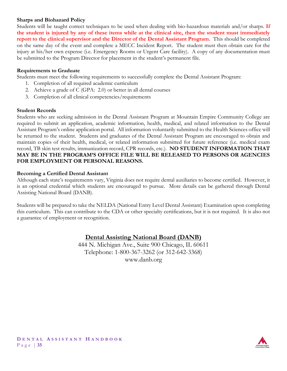#### **Sharps and Biohazard Policy**

Students will be taught correct techniques to be used when dealing with bio-hazardous materials and/or sharps. **If the student is injured by any of these items while at the clinical site, then the student must immediately report to the clinical supervisor and the Director of the Dental Assistant Program.** This should be completed on the same day of the event and complete a MECC Incident Report. The student must then obtain care for the injury at his/her own expense (i.e. Emergency Rooms or Urgent Care facility). A copy of any documentation must be submitted to the Program Director for placement in the student's permanent file.

#### **Requirements to Graduate**

Students must meet the following requirements to successfully complete the Dental Assistant Program:

- 1. Completion of all required academic curriculum
- 2. Achieve a grade of C (GPA: 2.0) or better in all dental courses
- 3. Completion of all clinical competencies/requirements

#### **Student Records**

Students who are seeking admission in the Dental Assistant Program at Mountain Empire Community College are required to submit an application, academic information, health, medical, and related information to the Dental Assistant Program's online application portal. All information voluntarily submitted to the Health Sciences office will be returned to the student. Students and graduates of the Dental Assistant Program are encouraged to obtain and maintain copies of their health, medical, or related information submitted for future reference (i.e. medical exam record, TB skin test results, immunization record, CPR records, etc.). **NO STUDENT INFORMATION THAT MAY BE IN THE PROGRAM'S OFFICE FILE WILL BE RELEASED TO PERSONS OR AGENCIES FOR EMPLOYMENT OR PERSONAL REASONS.** 

#### **Becoming a Certified Dental Assistant**

Although each state's requirements vary, Virginia does not require dental auxiliaries to become certified. However, it is an optional credential which students are encouraged to pursue. More details can be gathered through Dental Assisting National Board (DANB).

Students will be prepared to take the NELDA (National Entry Level Dental Assistant) Examination upon completing this curriculum. This can contribute to the CDA or other specialty certifications, but it is not required. It is also not a guarantee of employment or recognition.

#### **Dental Assisting National Board (DANB)**

444 N. Michigan Ave., Suite 900 Chicago, IL 60611 Telephone: 1-800-367-3262 (or 312-642-3368) www.danb.org



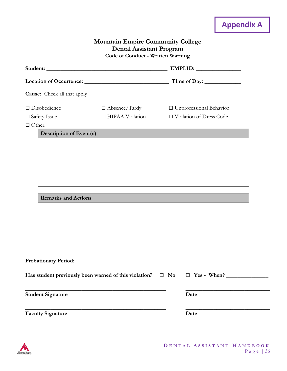# **Appendix A Mountain Empire Community College Dental Assistant Program Code of Conduct - Written Warning Student: \_\_\_\_\_\_\_\_\_\_\_\_\_\_\_\_\_\_\_\_\_\_\_\_\_\_\_\_\_\_\_\_\_\_\_\_\_\_\_\_\_\_\_ EMPLID: \_\_\_\_\_\_\_\_\_\_\_\_\_\_\_\_ Location of Occurrence: \_\_\_\_\_\_\_\_\_\_\_\_\_\_\_\_\_\_\_\_\_\_\_\_\_\_\_\_\_\_ Time of Day: \_\_\_\_\_\_\_\_\_\_\_\_\_ Cause:** Check all that apply □ Disobedience □ Absence/Tardy □ Unprofessional Behavior □ Safety Issue □ HIPAA Violation □ Violation of Dress Code □ Other: \_\_\_\_\_\_\_\_\_\_\_\_\_\_\_\_\_\_\_\_\_\_\_\_\_\_\_\_\_\_\_\_\_\_\_\_\_\_\_\_\_\_\_\_\_\_\_\_\_\_\_\_\_\_\_\_\_\_\_\_\_\_\_\_\_\_\_\_\_\_\_\_\_\_\_\_\_\_\_ **Description of Event(s) Remarks and Actions Probationary Period: \_\_\_\_\_\_\_\_\_\_\_\_\_\_\_\_\_\_\_\_\_\_\_\_\_\_\_\_\_\_\_\_\_\_\_\_\_\_\_\_\_\_\_\_\_\_\_\_\_\_\_\_\_\_\_\_\_\_\_\_\_\_\_\_\_\_\_\_ Has student previously been warned of this violation?** □ **No** □ **Yes - When? \_\_\_\_\_\_\_\_\_\_\_\_\_\_\_ \_\_\_\_\_\_\_\_\_\_\_\_\_\_\_\_\_\_\_\_\_\_\_\_\_\_\_\_\_\_\_\_\_\_\_\_\_\_\_\_\_\_\_\_\_\_\_\_\_\_ \_\_\_\_\_\_\_\_\_\_\_\_\_\_\_\_\_\_\_\_\_\_\_\_\_\_\_\_\_\_ Student Signature Date \_\_\_\_\_\_\_\_\_\_\_\_\_\_\_\_\_\_\_\_\_\_\_\_\_\_\_\_\_\_\_\_\_\_\_\_\_\_\_\_\_\_\_\_\_\_\_\_\_\_ \_\_\_\_\_\_\_\_\_\_\_\_\_\_\_\_\_\_\_\_\_\_\_\_\_\_\_\_\_\_ Faculty Signature Date**

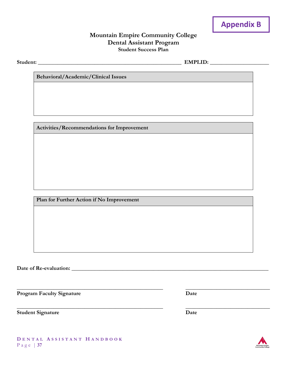

#### **Mountain Empire Community College Dental Assistant Program Student Success Plan**

**\_\_\_\_\_\_\_\_\_\_\_\_\_\_\_\_\_\_\_\_\_\_\_\_\_\_\_\_\_\_\_\_\_\_\_\_\_\_\_\_\_\_\_\_\_\_\_\_\_\_\_\_ \_\_\_\_\_\_\_\_\_\_\_\_\_\_\_\_\_\_\_\_\_\_\_\_\_\_\_\_\_\_**

**Student: \_\_\_\_\_\_\_\_\_\_\_\_\_\_\_\_\_\_\_\_\_\_\_\_\_\_\_\_\_\_\_\_\_\_\_\_\_\_\_\_\_\_\_\_\_\_\_\_\_\_\_ EMPLID: \_\_\_\_\_\_\_\_\_\_\_\_\_\_\_\_\_\_\_\_\_**

**Behavioral/Academic/Clinical Issues**

**Activities/Recommendations for Improvement**

**Plan for Further Action if No Improvement**

**Date of Re-evaluation: \_\_\_\_\_\_\_\_\_\_\_\_\_\_\_\_\_\_\_\_\_\_\_\_\_\_\_\_\_\_\_\_\_\_\_\_\_\_\_\_\_\_\_\_\_\_\_\_\_\_\_\_\_\_\_\_\_\_\_\_\_\_\_\_\_\_\_\_\_\_**

**Program Faculty Signature Date** 

**Student Signature Date**

**\_\_\_\_\_\_\_\_\_\_\_\_\_\_\_\_\_\_\_\_\_\_\_\_\_\_\_\_\_\_\_\_\_\_\_\_\_\_\_\_\_\_\_\_\_\_\_\_\_\_\_\_ \_\_\_\_\_\_\_\_\_\_\_\_\_\_\_\_\_\_\_\_\_\_\_\_\_\_\_\_\_\_**



**D E N T A L A S S I S T A N T H A N D B O O K** P a g e | **37**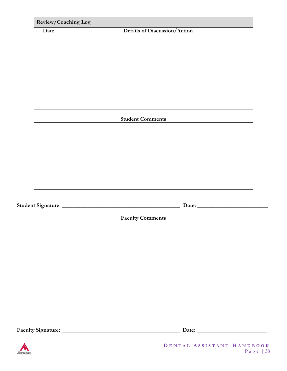|      | Review/Coaching Log                 |
|------|-------------------------------------|
| Date | <b>Details of Discussion/Action</b> |
|      |                                     |
|      |                                     |
|      |                                     |
|      |                                     |
|      |                                     |
|      |                                     |
|      |                                     |
|      |                                     |
|      |                                     |
|      |                                     |
|      |                                     |

## **Student Comments**

**Student Signature: \_\_\_\_\_\_\_\_\_\_\_\_\_\_\_\_\_\_\_\_\_\_\_\_\_\_\_\_\_\_\_\_\_\_\_\_\_\_\_\_\_\_ Date: \_\_\_\_\_\_\_\_\_\_\_\_\_\_\_\_\_\_\_\_\_\_\_\_\_**

**Faculty Comments** 

**Faculty Signature: \_\_\_\_\_\_\_\_\_\_\_\_\_\_\_\_\_\_\_\_\_\_\_\_\_\_\_\_\_\_\_\_\_\_\_\_\_\_\_\_\_\_ Date: \_\_\_\_\_\_\_\_\_\_\_\_\_\_\_\_\_\_\_\_\_\_\_\_\_**



**D E N T A L A S S I S T A N T H A N D B O O K** P a g e | 38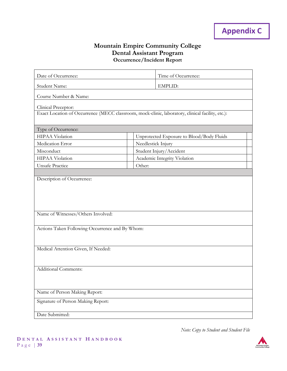### **Mountain Empire Community College Dental Assistant Program Occurrence/Incident Report**

| Date of Occurrence:                                                                              |                    | Time of Occurrence:                       |  |  |
|--------------------------------------------------------------------------------------------------|--------------------|-------------------------------------------|--|--|
| Student Name:                                                                                    |                    | <b>EMPLID:</b>                            |  |  |
| Course Number & Name:                                                                            |                    |                                           |  |  |
|                                                                                                  |                    |                                           |  |  |
| Clinical Preceptor:                                                                              |                    |                                           |  |  |
| Exact Location of Occurrence (MECC classroom, mock-clinic, laboratory, clinical facility, etc.): |                    |                                           |  |  |
| Type of Occurrence:                                                                              |                    |                                           |  |  |
| <b>HIPAA Violation</b>                                                                           |                    | Unprotected Exposure to Blood/Body Fluids |  |  |
| Medication Error                                                                                 | Needlestick Injury |                                           |  |  |
| Misconduct                                                                                       |                    | Student Injury/Accident                   |  |  |
| HIPAA Violation                                                                                  |                    | Academic Integrity Violation              |  |  |
| <b>Unsafe Practice</b>                                                                           | Other:             |                                           |  |  |
| Name of Witnesses/Others Involved:<br>Actions Taken Following Occurrence and By Whom:            |                    |                                           |  |  |
| Medical Attention Given, If Needed:                                                              |                    |                                           |  |  |
| <b>Additional Comments:</b>                                                                      |                    |                                           |  |  |
| Name of Person Making Report:                                                                    |                    |                                           |  |  |
| Signature of Person Making Report:                                                               |                    |                                           |  |  |
| Date Submitted:                                                                                  |                    |                                           |  |  |

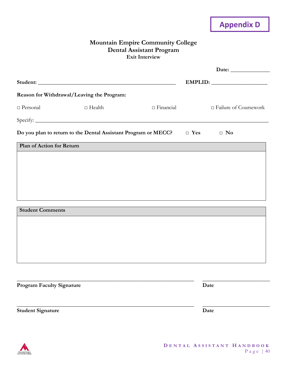# **Appendix D**

#### **Mountain Empire Community College Dental Assistant Program Exit Interview**

|                           |                                                                           |                  | EMPLID:                      |
|---------------------------|---------------------------------------------------------------------------|------------------|------------------------------|
|                           | Reason for Withdrawal/Leaving the Program:                                |                  |                              |
| $\Box$ Personal           | $\Box$ Health                                                             | $\Box$ Financial | $\Box$ Failure of Coursework |
|                           |                                                                           |                  |                              |
|                           | Do you plan to return to the Dental Assistant Program or MECC? $\Box$ Yes |                  | $\Box$ No                    |
| Plan of Action for Return |                                                                           |                  |                              |
|                           |                                                                           |                  |                              |
|                           |                                                                           |                  |                              |
|                           |                                                                           |                  |                              |
|                           |                                                                           |                  |                              |
| <b>Student Comments</b>   |                                                                           |                  |                              |
|                           |                                                                           |                  |                              |
|                           |                                                                           |                  |                              |
|                           |                                                                           |                  |                              |

**\_\_\_\_\_\_\_\_\_\_\_\_\_\_\_\_\_\_\_\_\_\_\_\_\_\_\_\_\_\_\_\_\_\_\_\_\_\_\_\_\_\_\_\_\_\_\_\_\_\_\_\_\_\_\_\_\_\_\_\_\_\_\_ \_\_\_\_\_\_\_\_\_\_\_\_\_\_\_\_\_\_\_\_\_\_\_\_**

**\_\_\_\_\_\_\_\_\_\_\_\_\_\_\_\_\_\_\_\_\_\_\_\_\_\_\_\_\_\_\_\_\_\_\_\_\_\_\_\_\_\_\_\_\_\_\_\_\_\_\_\_\_\_\_\_\_\_\_\_\_\_\_ \_\_\_\_\_\_\_\_\_\_\_\_\_\_\_\_\_\_\_\_\_\_\_\_**

**Program Faculty Signature Date** 

**Student Signature Date**

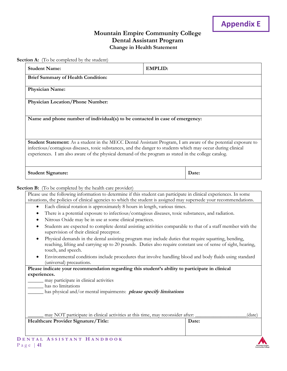#### **Mountain Empire Community College Dental Assistant Program Change in Health Statement**

**Section A:** (To be completed by the student)

| <b>Brief Summary of Health Condition:</b><br>Physician Name:<br><b>Physician Location/Phone Number:</b><br>Name and phone number of individual(s) to be contacted in case of emergency:<br>Student Statement: As a student in the MECC Dental Assistant Program, I am aware of the potential exposure to<br>infectious/contagious diseases, toxic substances, and the danger to students which may occur during clinical<br>experiences. I am also aware of the physical demand of the program as stated in the college catalog. |                                                                                                                                                                                                                      |
|----------------------------------------------------------------------------------------------------------------------------------------------------------------------------------------------------------------------------------------------------------------------------------------------------------------------------------------------------------------------------------------------------------------------------------------------------------------------------------------------------------------------------------|----------------------------------------------------------------------------------------------------------------------------------------------------------------------------------------------------------------------|
|                                                                                                                                                                                                                                                                                                                                                                                                                                                                                                                                  |                                                                                                                                                                                                                      |
|                                                                                                                                                                                                                                                                                                                                                                                                                                                                                                                                  |                                                                                                                                                                                                                      |
|                                                                                                                                                                                                                                                                                                                                                                                                                                                                                                                                  |                                                                                                                                                                                                                      |
|                                                                                                                                                                                                                                                                                                                                                                                                                                                                                                                                  |                                                                                                                                                                                                                      |
|                                                                                                                                                                                                                                                                                                                                                                                                                                                                                                                                  |                                                                                                                                                                                                                      |
|                                                                                                                                                                                                                                                                                                                                                                                                                                                                                                                                  |                                                                                                                                                                                                                      |
| <b>Student Signature:</b>                                                                                                                                                                                                                                                                                                                                                                                                                                                                                                        | Date:                                                                                                                                                                                                                |
| Section B: (To be completed by the health care provider)                                                                                                                                                                                                                                                                                                                                                                                                                                                                         |                                                                                                                                                                                                                      |
| Please use the following information to determine if this student can participate in clinical experiences. In some                                                                                                                                                                                                                                                                                                                                                                                                               |                                                                                                                                                                                                                      |
| situations, the policies of clinical agencies to which the student is assigned may supersede your recommendations.<br>Each clinical rotation is approximately 8 hours in length, various times.                                                                                                                                                                                                                                                                                                                                  |                                                                                                                                                                                                                      |
| $\bullet$<br>There is a potential exposure to infectious/contagious diseases, toxic substances, and radiation.<br>٠                                                                                                                                                                                                                                                                                                                                                                                                              |                                                                                                                                                                                                                      |
| Nitrous Oxide may be in use at some clinical practices.<br>٠                                                                                                                                                                                                                                                                                                                                                                                                                                                                     |                                                                                                                                                                                                                      |
| ٠<br>supervision of their clinical preceptor.                                                                                                                                                                                                                                                                                                                                                                                                                                                                                    | Students are expected to complete dental assisting activities comparable to that of a staff member with the                                                                                                          |
| touch, and speech.                                                                                                                                                                                                                                                                                                                                                                                                                                                                                                               | Physical demands in the dental assisting program may include duties that require squatting, bending,<br>reaching, lifting and carrying up to 20 pounds. Duties also require constant use of sense of sight, hearing, |
| (universal) precautions.                                                                                                                                                                                                                                                                                                                                                                                                                                                                                                         | Environmental conditions include procedures that involve handling blood and body fluids using standard                                                                                                               |
| Please indicate your recommendation regarding this student's ability to participate in clinical                                                                                                                                                                                                                                                                                                                                                                                                                                  |                                                                                                                                                                                                                      |
| experiences.                                                                                                                                                                                                                                                                                                                                                                                                                                                                                                                     |                                                                                                                                                                                                                      |
| may participate in clinical activities<br>has no limitations                                                                                                                                                                                                                                                                                                                                                                                                                                                                     |                                                                                                                                                                                                                      |
| has physical and/or mental impairments: <i>please specify limitations</i>                                                                                                                                                                                                                                                                                                                                                                                                                                                        |                                                                                                                                                                                                                      |
|                                                                                                                                                                                                                                                                                                                                                                                                                                                                                                                                  |                                                                                                                                                                                                                      |
|                                                                                                                                                                                                                                                                                                                                                                                                                                                                                                                                  |                                                                                                                                                                                                                      |
| may NOT participate in clinical activities at this time, may reconsider after:                                                                                                                                                                                                                                                                                                                                                                                                                                                   | (date)                                                                                                                                                                                                               |

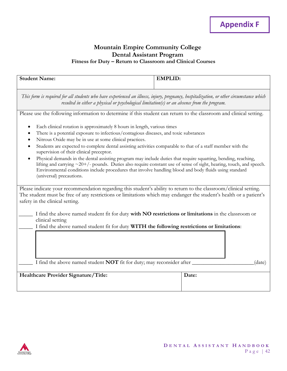#### **Mountain Empire Community College Dental Assistant Program Fitness for Duty – Return to Classroom and Clinical Courses**

| <b>Student Name:</b>                                                                                                                                                                                                                                                                                                                                                                                                                                                                                                                                                                                                                                                                                                                                                                      | <b>EMPLID:</b> |  |  |  |  |
|-------------------------------------------------------------------------------------------------------------------------------------------------------------------------------------------------------------------------------------------------------------------------------------------------------------------------------------------------------------------------------------------------------------------------------------------------------------------------------------------------------------------------------------------------------------------------------------------------------------------------------------------------------------------------------------------------------------------------------------------------------------------------------------------|----------------|--|--|--|--|
| This form is required for all students who have experienced an illness, injury, pregnancy, hospitalization, or other circumstance which<br>resulted in either a physical or psychological limitation(s) or an absence from the program.                                                                                                                                                                                                                                                                                                                                                                                                                                                                                                                                                   |                |  |  |  |  |
| Please use the following information to determine if this student can return to the classroom and clinical setting.                                                                                                                                                                                                                                                                                                                                                                                                                                                                                                                                                                                                                                                                       |                |  |  |  |  |
| Each clinical rotation is approximately 8 hours in length, various times<br>There is a potential exposure to infectious/contagious diseases, and toxic substances<br>Nitrous Oxide may be in use at some clinical practices.<br>Students are expected to complete dental assisting activities comparable to that of a staff member with the<br>supervision of their clinical preceptor.<br>Physical demands in the dental assisting program may include duties that require squatting, bending, reaching,<br>$\bullet$<br>lifting and carrying $\sim$ 20+/- pounds. Duties also require constant use of sense of sight, hearing, touch, and speech.<br>Environmental conditions include procedures that involve handling blood and body fluids using standard<br>(universal) precautions. |                |  |  |  |  |
| Please indicate your recommendation regarding this student's ability to return to the classroom/clinical setting.<br>The student must be free of any restrictions or limitations which may endanger the student's health or a patient's<br>safety in the clinical setting.                                                                                                                                                                                                                                                                                                                                                                                                                                                                                                                |                |  |  |  |  |
| I find the above named student fit for duty with <b>NO</b> restrictions or limitations in the classroom or<br>clinical setting<br>I find the above named student fit for duty WITH the following restrictions or limitations:                                                                                                                                                                                                                                                                                                                                                                                                                                                                                                                                                             |                |  |  |  |  |
| I find the above named student <b>NOT</b> fit for duty; may reconsider after<br>(date)                                                                                                                                                                                                                                                                                                                                                                                                                                                                                                                                                                                                                                                                                                    |                |  |  |  |  |
| Healthcare Provider Signature/Title:                                                                                                                                                                                                                                                                                                                                                                                                                                                                                                                                                                                                                                                                                                                                                      | Date:          |  |  |  |  |

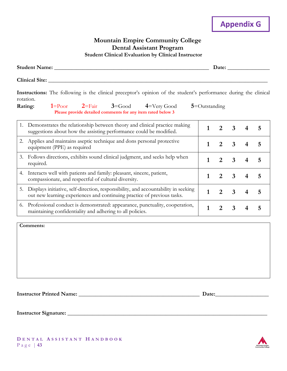#### **Mountain Empire Community College Dental Assistant Program Student Clinical Evaluation by Clinical Instructor**

| <b>Student Name:</b>  | Date: |
|-----------------------|-------|
| <b>Clinical Site:</b> |       |
|                       |       |

**Instructions:** The following is the clinical preceptor's opinion of the student's performance during the clinical rotation.

| Rating:                                                            |  |  |  | $1 = P_{\text{oor}}$ $2 = F_{\text{air}}$ $3 = G_{\text{ood}}$ $4 = V_{\text{ery}} G_{\text{ood}}$ $5 = O_{\text{utstanding}}$ |  |
|--------------------------------------------------------------------|--|--|--|--------------------------------------------------------------------------------------------------------------------------------|--|
| <b>Please provide detailed comments for any item rated below 3</b> |  |  |  |                                                                                                                                |  |

|    | Demonstrates the relationship between theory and clinical practice making<br>suggestions about how the assisting performance could be modified.               |  | 3                       |  |
|----|---------------------------------------------------------------------------------------------------------------------------------------------------------------|--|-------------------------|--|
| 2. | Applies and maintains aseptic technique and dons personal protective<br>equipment (PPE) as required                                                           |  | 3                       |  |
| 3. | Follows directions, exhibits sound clinical judgment, and seeks help when<br>required.                                                                        |  | 3                       |  |
| 4. | Interacts well with patients and family: pleasant, sincere, patient,<br>compassionate, and respectful of cultural diversity.                                  |  | $\overline{\mathbf{3}}$ |  |
| 5. | Displays initiative, self-direction, responsibility, and accountability in seeking<br>out new learning experiences and continuing practice of previous tasks. |  | 3                       |  |
| 6. | Professional conduct is demonstrated: appearance, punctuality, cooperation,<br>maintaining confidentiality and adhering to all policies.                      |  |                         |  |

**Comments:**

**Instructor Printed Name: \_\_\_\_\_\_\_\_\_\_\_\_\_\_\_\_\_\_\_\_\_\_\_\_\_\_\_\_\_\_\_\_\_\_\_\_\_\_\_\_\_\_\_ Date:\_\_\_\_\_\_\_\_\_\_\_\_\_\_\_\_\_\_\_**

**Instructor Signature: \_\_\_\_\_\_\_\_\_\_\_\_\_\_\_\_\_\_\_\_\_\_\_\_\_\_\_\_\_\_\_\_\_\_\_\_\_\_\_\_\_\_\_\_\_\_\_\_\_\_\_\_\_\_\_\_\_\_\_\_\_\_\_\_\_\_\_\_\_\_\_** 

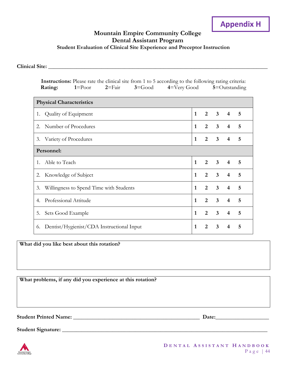# **Appendix H**

#### **Mountain Empire Community College Dental Assistant Program Student Evaluation of Clinical Site Experience and Preceptor Instruction**

**Clinical Site: \_\_\_\_\_\_\_\_\_\_\_\_\_\_\_\_\_\_\_\_\_\_\_\_\_\_\_\_\_\_\_\_\_\_\_\_\_\_\_\_\_\_\_\_\_\_\_\_\_\_\_\_\_\_\_\_\_\_\_\_\_\_\_\_\_\_\_\_\_\_\_\_\_\_\_\_\_\_**

|                                 | Instructions: Please rate the clinical site from 1 to 5 according to the following rating criteria:<br>$3 = Good$<br>$2 = \text{Fair}$<br>$4 = V$ ery Good<br>$1 = \text{Poor}$<br>Rating: |              | $5 =$ Outstanding |                         |                         |   |
|---------------------------------|--------------------------------------------------------------------------------------------------------------------------------------------------------------------------------------------|--------------|-------------------|-------------------------|-------------------------|---|
| <b>Physical Characteristics</b> |                                                                                                                                                                                            |              |                   |                         |                         |   |
| 1.                              | Quality of Equipment                                                                                                                                                                       | $\mathbf{1}$ | $\overline{2}$    | $\mathbf{3}$            | 4                       | 5 |
| 2.                              | Number of Procedures                                                                                                                                                                       | 1            | $\overline{2}$    | $\overline{\mathbf{3}}$ | $\overline{4}$          | 5 |
| 3.                              | Variety of Procedures                                                                                                                                                                      | 1            | $\overline{2}$    | 3                       | 4                       | 5 |
| Personnel:                      |                                                                                                                                                                                            |              |                   |                         |                         |   |
| $1_{-}$                         | Able to Teach                                                                                                                                                                              | $\mathbf{1}$ | $\overline{2}$    | 3                       | $\overline{4}$          | 5 |
| 2.                              | Knowledge of Subject                                                                                                                                                                       | $\mathbf{1}$ | $\overline{2}$    | $\overline{\mathbf{3}}$ | $\overline{4}$          | 5 |
| 3.                              | Willingness to Spend Time with Students                                                                                                                                                    | $\mathbf{1}$ | $\overline{2}$    | 3                       | $\overline{4}$          | 5 |
| 4.                              | Professional Attitude                                                                                                                                                                      | $\mathbf{1}$ | $\overline{2}$    | 3                       | $\overline{4}$          | 5 |
| 5.                              | Sets Good Example                                                                                                                                                                          | $\mathbf{1}$ | 2                 | $\overline{\mathbf{3}}$ | $\overline{\mathbf{4}}$ | 5 |
| 6.                              | Dentist/Hygienist/CDA Instructional Input                                                                                                                                                  | 1            | $\overline{2}$    | 3                       | 4                       | 5 |

**What did you like best about this rotation?**

**What problems, if any did you experience at this rotation?**

**Student Printed Name: \_\_\_\_\_\_\_\_\_\_\_\_\_\_\_\_\_\_\_\_\_\_\_\_\_\_\_\_\_\_\_\_\_\_\_\_\_\_\_\_\_\_\_\_\_ Date:\_\_\_\_\_\_\_\_\_\_\_\_\_\_\_\_\_\_\_**

**Student Signature: \_\_\_\_\_\_\_\_\_\_\_\_\_\_\_\_\_\_\_\_\_\_\_\_\_\_\_\_\_\_\_\_\_\_\_\_\_\_\_\_\_\_\_\_\_\_\_\_\_\_\_\_\_\_\_\_\_\_\_\_\_\_\_\_\_\_\_\_\_\_\_\_\_** 

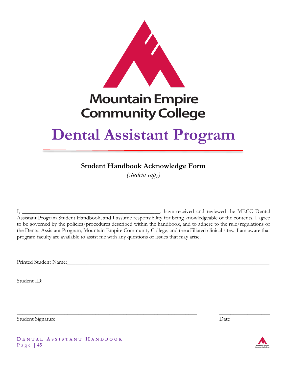

# **Mountain Empire Community College**

# **Dental Assistant Program**

# **Student Handbook Acknowledge Form**

*(student copy)*

I, \_\_\_\_\_\_\_\_\_\_\_\_\_\_\_\_\_\_\_\_\_\_\_\_\_\_\_\_\_\_\_\_\_\_\_\_\_\_\_\_\_\_\_\_\_\_\_\_\_, have received and reviewed the MECC Dental Assistant Program Student Handbook, and I assume responsibility for being knowledgeable of the contents. I agree to be governed by the policies/procedures described within the handbook, and to adhere to the rule/regulations of the Dental Assistant Program, Mountain Empire Community College, and the affiliated clinical sites. I am aware that program faculty are available to assist me with any questions or issues that may arise.

\_\_\_\_\_\_\_\_\_\_\_\_\_\_\_\_\_\_\_\_\_\_\_\_\_\_\_\_\_\_\_\_\_\_\_\_\_\_\_\_\_\_\_\_\_\_\_\_\_\_\_\_\_\_\_\_\_\_\_\_\_\_\_\_ \_\_\_\_\_\_\_\_\_\_\_\_\_\_\_\_\_\_

Printed Student Name:

Student ID: \_\_\_\_\_\_\_\_\_\_\_\_\_\_\_\_\_\_\_\_\_\_\_\_\_\_\_\_\_\_\_\_\_\_\_\_\_\_\_\_\_\_\_\_\_\_\_\_\_\_\_\_\_\_\_\_\_\_\_\_\_\_\_\_\_\_\_\_\_\_\_\_\_\_\_\_\_\_\_

Student Signature Date